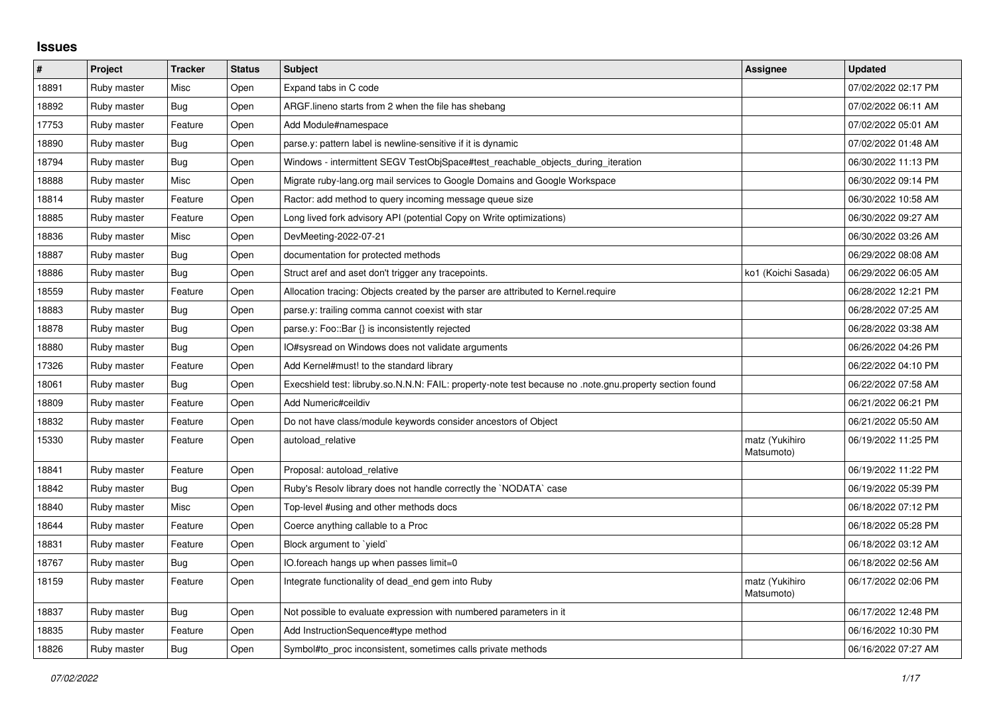## **Issues**

| $\pmb{\#}$ | Project     | <b>Tracker</b> | <b>Status</b> | <b>Subject</b>                                                                                          | Assignee                     | <b>Updated</b>      |
|------------|-------------|----------------|---------------|---------------------------------------------------------------------------------------------------------|------------------------------|---------------------|
| 18891      | Ruby master | Misc           | Open          | Expand tabs in C code                                                                                   |                              | 07/02/2022 02:17 PM |
| 18892      | Ruby master | Bug            | Open          | ARGF lineno starts from 2 when the file has shebang                                                     |                              | 07/02/2022 06:11 AM |
| 17753      | Ruby master | Feature        | Open          | Add Module#namespace                                                                                    |                              | 07/02/2022 05:01 AM |
| 18890      | Ruby master | <b>Bug</b>     | Open          | parse y: pattern label is newline-sensitive if it is dynamic                                            |                              | 07/02/2022 01:48 AM |
| 18794      | Ruby master | Bug            | Open          | Windows - intermittent SEGV TestObjSpace#test_reachable_objects_during_iteration                        |                              | 06/30/2022 11:13 PM |
| 18888      | Ruby master | Misc           | Open          | Migrate ruby-lang.org mail services to Google Domains and Google Workspace                              |                              | 06/30/2022 09:14 PM |
| 18814      | Ruby master | Feature        | Open          | Ractor: add method to query incoming message queue size                                                 |                              | 06/30/2022 10:58 AM |
| 18885      | Ruby master | Feature        | Open          | Long lived fork advisory API (potential Copy on Write optimizations)                                    |                              | 06/30/2022 09:27 AM |
| 18836      | Ruby master | Misc           | Open          | DevMeeting-2022-07-21                                                                                   |                              | 06/30/2022 03:26 AM |
| 18887      | Ruby master | Bug            | Open          | documentation for protected methods                                                                     |                              | 06/29/2022 08:08 AM |
| 18886      | Ruby master | Bug            | Open          | Struct aref and aset don't trigger any tracepoints.                                                     | ko1 (Koichi Sasada)          | 06/29/2022 06:05 AM |
| 18559      | Ruby master | Feature        | Open          | Allocation tracing: Objects created by the parser are attributed to Kernel.require                      |                              | 06/28/2022 12:21 PM |
| 18883      | Ruby master | <b>Bug</b>     | Open          | parse.y: trailing comma cannot coexist with star                                                        |                              | 06/28/2022 07:25 AM |
| 18878      | Ruby master | Bug            | Open          | parse.y: Foo::Bar {} is inconsistently rejected                                                         |                              | 06/28/2022 03:38 AM |
| 18880      | Ruby master | Bug            | Open          | IO#sysread on Windows does not validate arguments                                                       |                              | 06/26/2022 04:26 PM |
| 17326      | Ruby master | Feature        | Open          | Add Kernel#must! to the standard library                                                                |                              | 06/22/2022 04:10 PM |
| 18061      | Ruby master | Bug            | Open          | Execshield test: libruby.so.N.N.N: FAIL: property-note test because no .note.gnu.property section found |                              | 06/22/2022 07:58 AM |
| 18809      | Ruby master | Feature        | Open          | Add Numeric#ceildiv                                                                                     |                              | 06/21/2022 06:21 PM |
| 18832      | Ruby master | Feature        | Open          | Do not have class/module keywords consider ancestors of Object                                          |                              | 06/21/2022 05:50 AM |
| 15330      | Ruby master | Feature        | Open          | autoload relative                                                                                       | matz (Yukihiro<br>Matsumoto) | 06/19/2022 11:25 PM |
| 18841      | Ruby master | Feature        | Open          | Proposal: autoload relative                                                                             |                              | 06/19/2022 11:22 PM |
| 18842      | Ruby master | Bug            | Open          | Ruby's Resolv library does not handle correctly the `NODATA` case                                       |                              | 06/19/2022 05:39 PM |
| 18840      | Ruby master | Misc           | Open          | Top-level #using and other methods docs                                                                 |                              | 06/18/2022 07:12 PM |
| 18644      | Ruby master | Feature        | Open          | Coerce anything callable to a Proc                                                                      |                              | 06/18/2022 05:28 PM |
| 18831      | Ruby master | Feature        | Open          | Block argument to 'yield'                                                                               |                              | 06/18/2022 03:12 AM |
| 18767      | Ruby master | Bug            | Open          | IO.foreach hangs up when passes limit=0                                                                 |                              | 06/18/2022 02:56 AM |
| 18159      | Ruby master | Feature        | Open          | Integrate functionality of dead_end gem into Ruby                                                       | matz (Yukihiro<br>Matsumoto) | 06/17/2022 02:06 PM |
| 18837      | Ruby master | <b>Bug</b>     | Open          | Not possible to evaluate expression with numbered parameters in it                                      |                              | 06/17/2022 12:48 PM |
| 18835      | Ruby master | Feature        | Open          | Add InstructionSequence#type method                                                                     |                              | 06/16/2022 10:30 PM |
| 18826      | Ruby master | Bug            | Open          | Symbol#to proc inconsistent, sometimes calls private methods                                            |                              | 06/16/2022 07:27 AM |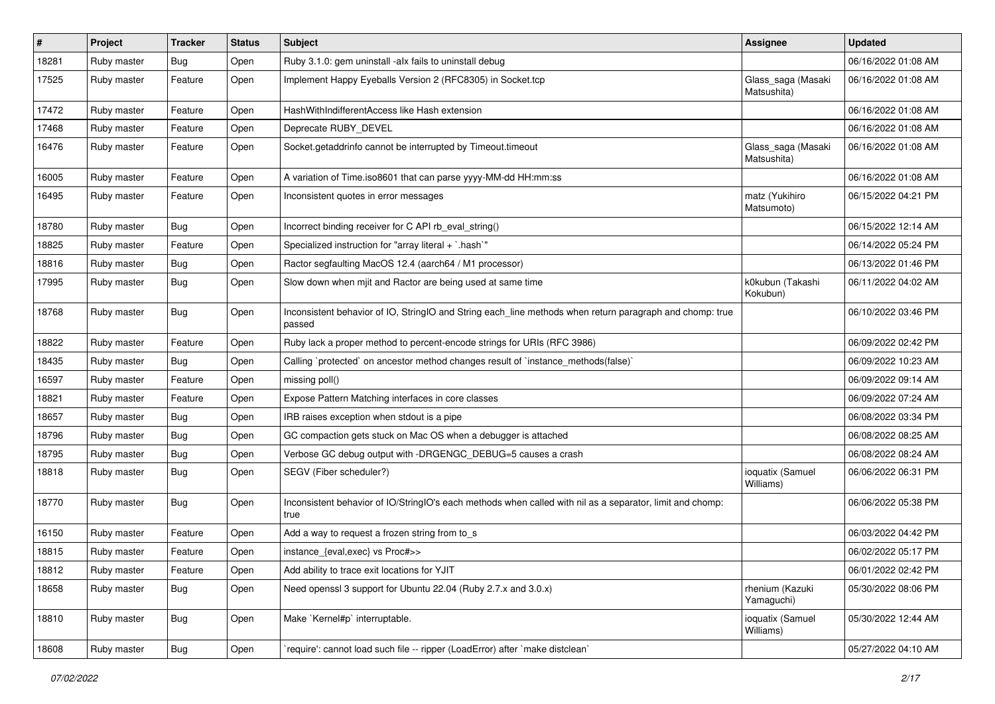| #     | Project     | <b>Tracker</b> | <b>Status</b> | Subject                                                                                                            | <b>Assignee</b>                   | <b>Updated</b>      |
|-------|-------------|----------------|---------------|--------------------------------------------------------------------------------------------------------------------|-----------------------------------|---------------------|
| 18281 | Ruby master | Bug            | Open          | Ruby 3.1.0: gem uninstall -alx fails to uninstall debug                                                            |                                   | 06/16/2022 01:08 AM |
| 17525 | Ruby master | Feature        | Open          | Implement Happy Eyeballs Version 2 (RFC8305) in Socket.tcp                                                         | Glass_saga (Masaki<br>Matsushita) | 06/16/2022 01:08 AM |
| 17472 | Ruby master | Feature        | Open          | HashWithIndifferentAccess like Hash extension                                                                      |                                   | 06/16/2022 01:08 AM |
| 17468 | Ruby master | Feature        | Open          | Deprecate RUBY_DEVEL                                                                                               |                                   | 06/16/2022 01:08 AM |
| 16476 | Ruby master | Feature        | Open          | Socket.getaddrinfo cannot be interrupted by Timeout.timeout                                                        | Glass_saga (Masaki<br>Matsushita) | 06/16/2022 01:08 AM |
| 16005 | Ruby master | Feature        | Open          | A variation of Time.iso8601 that can parse yyyy-MM-dd HH:mm:ss                                                     |                                   | 06/16/2022 01:08 AM |
| 16495 | Ruby master | Feature        | Open          | Inconsistent quotes in error messages                                                                              | matz (Yukihiro<br>Matsumoto)      | 06/15/2022 04:21 PM |
| 18780 | Ruby master | Bug            | Open          | Incorrect binding receiver for C API rb_eval_string()                                                              |                                   | 06/15/2022 12:14 AM |
| 18825 | Ruby master | Feature        | Open          | Specialized instruction for "array literal + `.hash`"                                                              |                                   | 06/14/2022 05:24 PM |
| 18816 | Ruby master | Bug            | Open          | Ractor segfaulting MacOS 12.4 (aarch64 / M1 processor)                                                             |                                   | 06/13/2022 01:46 PM |
| 17995 | Ruby master | Bug            | Open          | Slow down when mjit and Ractor are being used at same time                                                         | k0kubun (Takashi<br>Kokubun)      | 06/11/2022 04:02 AM |
| 18768 | Ruby master | Bug            | Open          | Inconsistent behavior of IO, StringIO and String each_line methods when return paragraph and chomp: true<br>passed |                                   | 06/10/2022 03:46 PM |
| 18822 | Ruby master | Feature        | Open          | Ruby lack a proper method to percent-encode strings for URIs (RFC 3986)                                            |                                   | 06/09/2022 02:42 PM |
| 18435 | Ruby master | Bug            | Open          | Calling `protected` on ancestor method changes result of `instance_methods(false)`                                 |                                   | 06/09/2022 10:23 AM |
| 16597 | Ruby master | Feature        | Open          | missing poll()                                                                                                     |                                   | 06/09/2022 09:14 AM |
| 18821 | Ruby master | Feature        | Open          | Expose Pattern Matching interfaces in core classes                                                                 |                                   | 06/09/2022 07:24 AM |
| 18657 | Ruby master | <b>Bug</b>     | Open          | IRB raises exception when stdout is a pipe                                                                         |                                   | 06/08/2022 03:34 PM |
| 18796 | Ruby master | Bug            | Open          | GC compaction gets stuck on Mac OS when a debugger is attached                                                     |                                   | 06/08/2022 08:25 AM |
| 18795 | Ruby master | Bug            | Open          | Verbose GC debug output with -DRGENGC_DEBUG=5 causes a crash                                                       |                                   | 06/08/2022 08:24 AM |
| 18818 | Ruby master | Bug            | Open          | SEGV (Fiber scheduler?)                                                                                            | ioquatix (Samuel<br>Williams)     | 06/06/2022 06:31 PM |
| 18770 | Ruby master | Bug            | Open          | Inconsistent behavior of IO/StringIO's each methods when called with nil as a separator, limit and chomp:<br>true  |                                   | 06/06/2022 05:38 PM |
| 16150 | Ruby master | Feature        | Open          | Add a way to request a frozen string from to_s                                                                     |                                   | 06/03/2022 04:42 PM |
| 18815 | Ruby master | Feature        | Open          | instance_{eval,exec} vs Proc#>>                                                                                    |                                   | 06/02/2022 05:17 PM |
| 18812 | Ruby master | Feature        | Open          | Add ability to trace exit locations for YJIT                                                                       |                                   | 06/01/2022 02:42 PM |
| 18658 | Ruby master | <b>Bug</b>     | Open          | Need openssl 3 support for Ubuntu 22.04 (Ruby 2.7.x and 3.0.x)                                                     | rhenium (Kazuki<br>Yamaguchi)     | 05/30/2022 08:06 PM |
| 18810 | Ruby master | Bug            | Open          | Make `Kernel#p` interruptable.                                                                                     | ioquatix (Samuel<br>Williams)     | 05/30/2022 12:44 AM |
| 18608 | Ruby master | Bug            | Open          | 'require': cannot load such file -- ripper (LoadError) after 'make distclean'                                      |                                   | 05/27/2022 04:10 AM |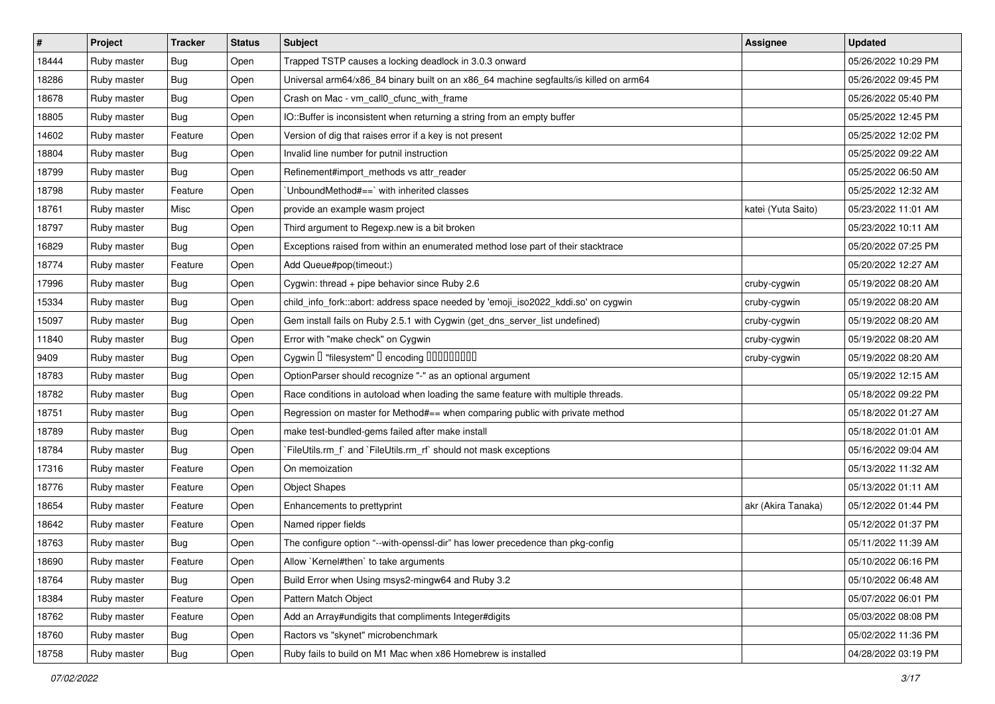| #     | Project     | <b>Tracker</b> | <b>Status</b> | <b>Subject</b>                                                                        | Assignee           | <b>Updated</b>      |
|-------|-------------|----------------|---------------|---------------------------------------------------------------------------------------|--------------------|---------------------|
| 18444 | Ruby master | <b>Bug</b>     | Open          | Trapped TSTP causes a locking deadlock in 3.0.3 onward                                |                    | 05/26/2022 10:29 PM |
| 18286 | Ruby master | Bug            | Open          | Universal arm64/x86_84 binary built on an x86_64 machine segfaults/is killed on arm64 |                    | 05/26/2022 09:45 PM |
| 18678 | Ruby master | Bug            | Open          | Crash on Mac - vm_call0_cfunc_with_frame                                              |                    | 05/26/2022 05:40 PM |
| 18805 | Ruby master | Bug            | Open          | IO::Buffer is inconsistent when returning a string from an empty buffer               |                    | 05/25/2022 12:45 PM |
| 14602 | Ruby master | Feature        | Open          | Version of dig that raises error if a key is not present                              |                    | 05/25/2022 12:02 PM |
| 18804 | Ruby master | <b>Bug</b>     | Open          | Invalid line number for putnil instruction                                            |                    | 05/25/2022 09:22 AM |
| 18799 | Ruby master | Bug            | Open          | Refinement#import_methods vs attr_reader                                              |                    | 05/25/2022 06:50 AM |
| 18798 | Ruby master | Feature        | Open          | 'UnboundMethod#==' with inherited classes                                             |                    | 05/25/2022 12:32 AM |
| 18761 | Ruby master | Misc           | Open          | provide an example wasm project                                                       | katei (Yuta Saito) | 05/23/2022 11:01 AM |
| 18797 | Ruby master | Bug            | Open          | Third argument to Regexp.new is a bit broken                                          |                    | 05/23/2022 10:11 AM |
| 16829 | Ruby master | Bug            | Open          | Exceptions raised from within an enumerated method lose part of their stacktrace      |                    | 05/20/2022 07:25 PM |
| 18774 | Ruby master | Feature        | Open          | Add Queue#pop(timeout:)                                                               |                    | 05/20/2022 12:27 AM |
| 17996 | Ruby master | Bug            | Open          | Cygwin: thread + pipe behavior since Ruby 2.6                                         | cruby-cygwin       | 05/19/2022 08:20 AM |
| 15334 | Ruby master | Bug            | Open          | child_info_fork::abort: address space needed by 'emoji_iso2022_kddi.so' on cygwin     | cruby-cygwin       | 05/19/2022 08:20 AM |
| 15097 | Ruby master | Bug            | Open          | Gem install fails on Ruby 2.5.1 with Cygwin (get_dns_server_list undefined)           | cruby-cygwin       | 05/19/2022 08:20 AM |
| 11840 | Ruby master | Bug            | Open          | Error with "make check" on Cygwin                                                     | cruby-cygwin       | 05/19/2022 08:20 AM |
| 9409  | Ruby master | Bug            | Open          | Cygwin D "filesystem" D encoding DODDDDDD                                             | cruby-cygwin       | 05/19/2022 08:20 AM |
| 18783 | Ruby master | Bug            | Open          | OptionParser should recognize "-" as an optional argument                             |                    | 05/19/2022 12:15 AM |
| 18782 | Ruby master | Bug            | Open          | Race conditions in autoload when loading the same feature with multiple threads.      |                    | 05/18/2022 09:22 PM |
| 18751 | Ruby master | Bug            | Open          | Regression on master for Method#== when comparing public with private method          |                    | 05/18/2022 01:27 AM |
| 18789 | Ruby master | <b>Bug</b>     | Open          | make test-bundled-gems failed after make install                                      |                    | 05/18/2022 01:01 AM |
| 18784 | Ruby master | Bug            | Open          | `FileUtils.rm_f` and `FileUtils.rm_rf` should not mask exceptions                     |                    | 05/16/2022 09:04 AM |
| 17316 | Ruby master | Feature        | Open          | On memoization                                                                        |                    | 05/13/2022 11:32 AM |
| 18776 | Ruby master | Feature        | Open          | <b>Object Shapes</b>                                                                  |                    | 05/13/2022 01:11 AM |
| 18654 | Ruby master | Feature        | Open          | Enhancements to prettyprint                                                           | akr (Akira Tanaka) | 05/12/2022 01:44 PM |
| 18642 | Ruby master | Feature        | Open          | Named ripper fields                                                                   |                    | 05/12/2022 01:37 PM |
| 18763 | Ruby master | <b>Bug</b>     | Open          | The configure option "--with-openssl-dir" has lower precedence than pkg-config        |                    | 05/11/2022 11:39 AM |
| 18690 | Ruby master | Feature        | Open          | Allow `Kernel#then` to take arguments                                                 |                    | 05/10/2022 06:16 PM |
| 18764 | Ruby master | Bug            | Open          | Build Error when Using msys2-mingw64 and Ruby 3.2                                     |                    | 05/10/2022 06:48 AM |
| 18384 | Ruby master | Feature        | Open          | Pattern Match Object                                                                  |                    | 05/07/2022 06:01 PM |
| 18762 | Ruby master | Feature        | Open          | Add an Array#undigits that compliments Integer#digits                                 |                    | 05/03/2022 08:08 PM |
| 18760 | Ruby master | <b>Bug</b>     | Open          | Ractors vs "skynet" microbenchmark                                                    |                    | 05/02/2022 11:36 PM |
| 18758 | Ruby master | Bug            | Open          | Ruby fails to build on M1 Mac when x86 Homebrew is installed                          |                    | 04/28/2022 03:19 PM |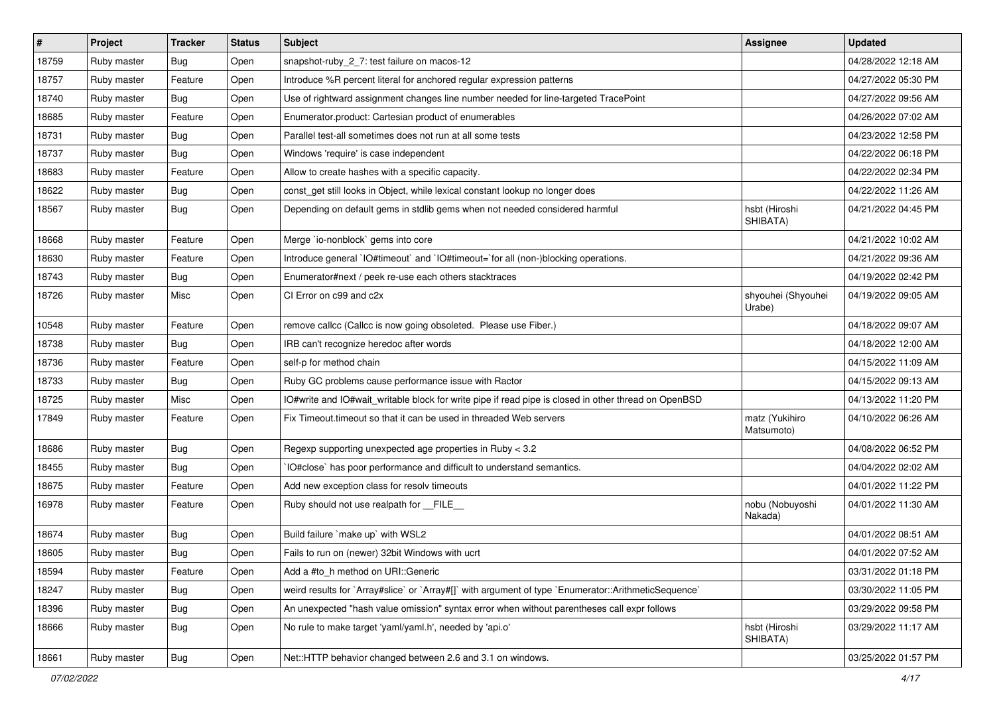| #     | Project     | <b>Tracker</b> | <b>Status</b> | <b>Subject</b>                                                                                       | <b>Assignee</b>              | <b>Updated</b>      |
|-------|-------------|----------------|---------------|------------------------------------------------------------------------------------------------------|------------------------------|---------------------|
| 18759 | Ruby master | Bug            | Open          | snapshot-ruby_2_7: test failure on macos-12                                                          |                              | 04/28/2022 12:18 AM |
| 18757 | Ruby master | Feature        | Open          | Introduce %R percent literal for anchored regular expression patterns                                |                              | 04/27/2022 05:30 PM |
| 18740 | Ruby master | <b>Bug</b>     | Open          | Use of rightward assignment changes line number needed for line-targeted TracePoint                  |                              | 04/27/2022 09:56 AM |
| 18685 | Ruby master | Feature        | Open          | Enumerator.product: Cartesian product of enumerables                                                 |                              | 04/26/2022 07:02 AM |
| 18731 | Ruby master | Bug            | Open          | Parallel test-all sometimes does not run at all some tests                                           |                              | 04/23/2022 12:58 PM |
| 18737 | Ruby master | Bug            | Open          | Windows 'require' is case independent                                                                |                              | 04/22/2022 06:18 PM |
| 18683 | Ruby master | Feature        | Open          | Allow to create hashes with a specific capacity.                                                     |                              | 04/22/2022 02:34 PM |
| 18622 | Ruby master | <b>Bug</b>     | Open          | const get still looks in Object, while lexical constant lookup no longer does                        |                              | 04/22/2022 11:26 AM |
| 18567 | Ruby master | <b>Bug</b>     | Open          | Depending on default gems in stdlib gems when not needed considered harmful                          | hsbt (Hiroshi<br>SHIBATA)    | 04/21/2022 04:45 PM |
| 18668 | Ruby master | Feature        | Open          | Merge `io-nonblock` gems into core                                                                   |                              | 04/21/2022 10:02 AM |
| 18630 | Ruby master | Feature        | Open          | Introduce general 'IO#timeout' and 'IO#timeout='for all (non-)blocking operations.                   |                              | 04/21/2022 09:36 AM |
| 18743 | Ruby master | <b>Bug</b>     | Open          | Enumerator#next / peek re-use each others stacktraces                                                |                              | 04/19/2022 02:42 PM |
| 18726 | Ruby master | Misc           | Open          | CI Error on c99 and c2x                                                                              | shyouhei (Shyouhei<br>Urabe) | 04/19/2022 09:05 AM |
| 10548 | Ruby master | Feature        | Open          | remove callcc (Callcc is now going obsoleted. Please use Fiber.)                                     |                              | 04/18/2022 09:07 AM |
| 18738 | Ruby master | <b>Bug</b>     | Open          | IRB can't recognize heredoc after words                                                              |                              | 04/18/2022 12:00 AM |
| 18736 | Ruby master | Feature        | Open          | self-p for method chain                                                                              |                              | 04/15/2022 11:09 AM |
| 18733 | Ruby master | <b>Bug</b>     | Open          | Ruby GC problems cause performance issue with Ractor                                                 |                              | 04/15/2022 09:13 AM |
| 18725 | Ruby master | Misc           | Open          | IO#write and IO#wait_writable block for write pipe if read pipe is closed in other thread on OpenBSD |                              | 04/13/2022 11:20 PM |
| 17849 | Ruby master | Feature        | Open          | Fix Timeout timeout so that it can be used in threaded Web servers                                   | matz (Yukihiro<br>Matsumoto) | 04/10/2022 06:26 AM |
| 18686 | Ruby master | <b>Bug</b>     | Open          | Regexp supporting unexpected age properties in Ruby < 3.2                                            |                              | 04/08/2022 06:52 PM |
| 18455 | Ruby master | Bug            | Open          | IO#close` has poor performance and difficult to understand semantics.                                |                              | 04/04/2022 02:02 AM |
| 18675 | Ruby master | Feature        | Open          | Add new exception class for resolv timeouts                                                          |                              | 04/01/2022 11:22 PM |
| 16978 | Ruby master | Feature        | Open          | Ruby should not use realpath for __FILE_                                                             | nobu (Nobuyoshi<br>Nakada)   | 04/01/2022 11:30 AM |
| 18674 | Ruby master | Bug            | Open          | Build failure `make up` with WSL2                                                                    |                              | 04/01/2022 08:51 AM |
| 18605 | Ruby master | Bug            | Open          | Fails to run on (newer) 32bit Windows with ucrt                                                      |                              | 04/01/2022 07:52 AM |
| 18594 | Ruby master | Feature        | Open          | Add a #to_h method on URI::Generic                                                                   |                              | 03/31/2022 01:18 PM |
| 18247 | Ruby master | <b>Bug</b>     | Open          | weird results for `Array#slice` or `Array#[]` with argument of type `Enumerator::ArithmeticSequence` |                              | 03/30/2022 11:05 PM |
| 18396 | Ruby master | <b>Bug</b>     | Open          | An unexpected "hash value omission" syntax error when without parentheses call expr follows          |                              | 03/29/2022 09:58 PM |
| 18666 | Ruby master | <b>Bug</b>     | Open          | No rule to make target 'yaml/yaml.h', needed by 'api.o'                                              | hsbt (Hiroshi<br>SHIBATA)    | 03/29/2022 11:17 AM |
| 18661 | Ruby master | Bug            | Open          | Net::HTTP behavior changed between 2.6 and 3.1 on windows.                                           |                              | 03/25/2022 01:57 PM |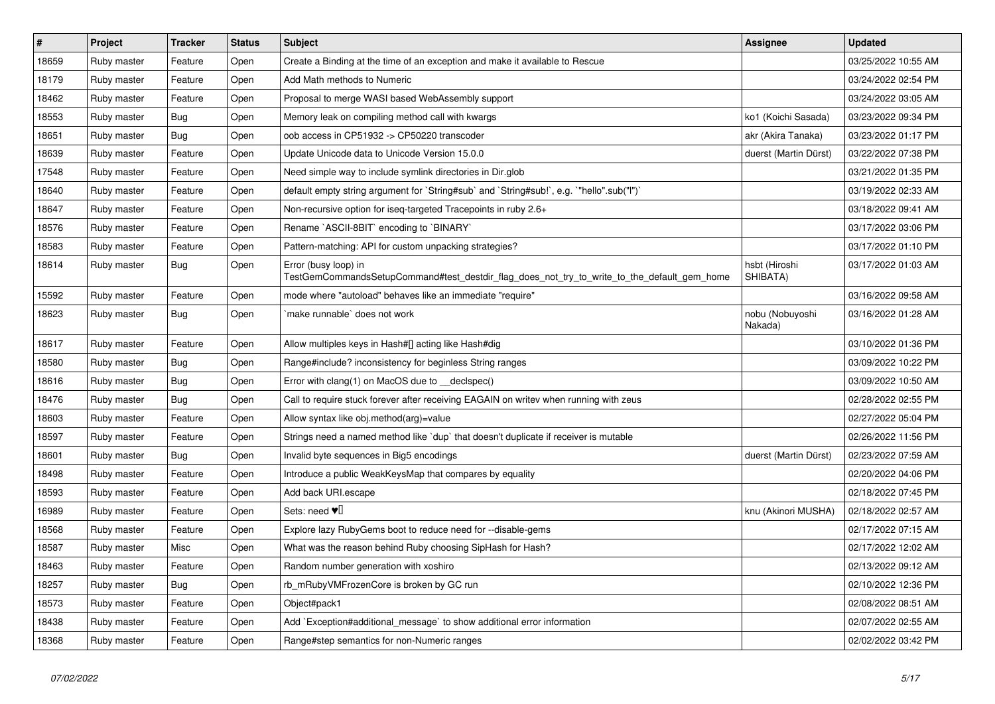| $\sharp$ | Project     | <b>Tracker</b> | <b>Status</b> | <b>Subject</b>                                                                                                      | <b>Assignee</b>            | <b>Updated</b>      |
|----------|-------------|----------------|---------------|---------------------------------------------------------------------------------------------------------------------|----------------------------|---------------------|
| 18659    | Ruby master | Feature        | Open          | Create a Binding at the time of an exception and make it available to Rescue                                        |                            | 03/25/2022 10:55 AM |
| 18179    | Ruby master | Feature        | Open          | Add Math methods to Numeric                                                                                         |                            | 03/24/2022 02:54 PM |
| 18462    | Ruby master | Feature        | Open          | Proposal to merge WASI based WebAssembly support                                                                    |                            | 03/24/2022 03:05 AM |
| 18553    | Ruby master | Bug            | Open          | Memory leak on compiling method call with kwargs                                                                    | ko1 (Koichi Sasada)        | 03/23/2022 09:34 PM |
| 18651    | Ruby master | Bug            | Open          | oob access in CP51932 -> CP50220 transcoder                                                                         | akr (Akira Tanaka)         | 03/23/2022 01:17 PM |
| 18639    | Ruby master | Feature        | Open          | Update Unicode data to Unicode Version 15.0.0                                                                       | duerst (Martin Dürst)      | 03/22/2022 07:38 PM |
| 17548    | Ruby master | Feature        | Open          | Need simple way to include symlink directories in Dir.glob                                                          |                            | 03/21/2022 01:35 PM |
| 18640    | Ruby master | Feature        | Open          | default empty string argument for `String#sub` and `String#sub!`, e.g. `"hello".sub("I")`                           |                            | 03/19/2022 02:33 AM |
| 18647    | Ruby master | Feature        | Open          | Non-recursive option for iseg-targeted Tracepoints in ruby 2.6+                                                     |                            | 03/18/2022 09:41 AM |
| 18576    | Ruby master | Feature        | Open          | Rename `ASCII-8BIT` encoding to `BINARY`                                                                            |                            | 03/17/2022 03:06 PM |
| 18583    | Ruby master | Feature        | Open          | Pattern-matching: API for custom unpacking strategies?                                                              |                            | 03/17/2022 01:10 PM |
| 18614    | Ruby master | <b>Bug</b>     | Open          | Error (busy loop) in<br>TestGemCommandsSetupCommand#test_destdir_flag_does_not_try_to_write_to_the_default_gem_home | hsbt (Hiroshi<br>SHIBATA)  | 03/17/2022 01:03 AM |
| 15592    | Ruby master | Feature        | Open          | mode where "autoload" behaves like an immediate "require"                                                           |                            | 03/16/2022 09:58 AM |
| 18623    | Ruby master | Bug            | Open          | `make runnable` does not work                                                                                       | nobu (Nobuyoshi<br>Nakada) | 03/16/2022 01:28 AM |
| 18617    | Ruby master | Feature        | Open          | Allow multiples keys in Hash#[] acting like Hash#dig                                                                |                            | 03/10/2022 01:36 PM |
| 18580    | Ruby master | Bug            | Open          | Range#include? inconsistency for beginless String ranges                                                            |                            | 03/09/2022 10:22 PM |
| 18616    | Ruby master | Bug            | Open          | Error with clang(1) on MacOS due to decispec()                                                                      |                            | 03/09/2022 10:50 AM |
| 18476    | Ruby master | Bug            | Open          | Call to require stuck forever after receiving EAGAIN on writev when running with zeus                               |                            | 02/28/2022 02:55 PM |
| 18603    | Ruby master | Feature        | Open          | Allow syntax like obj.method(arg)=value                                                                             |                            | 02/27/2022 05:04 PM |
| 18597    | Ruby master | Feature        | Open          | Strings need a named method like `dup` that doesn't duplicate if receiver is mutable                                |                            | 02/26/2022 11:56 PM |
| 18601    | Ruby master | Bug            | Open          | Invalid byte sequences in Big5 encodings                                                                            | duerst (Martin Dürst)      | 02/23/2022 07:59 AM |
| 18498    | Ruby master | Feature        | Open          | Introduce a public WeakKeysMap that compares by equality                                                            |                            | 02/20/2022 04:06 PM |
| 18593    | Ruby master | Feature        | Open          | Add back URI.escape                                                                                                 |                            | 02/18/2022 07:45 PM |
| 16989    | Ruby master | Feature        | Open          | Sets: need $\Psi$                                                                                                   | knu (Akinori MUSHA)        | 02/18/2022 02:57 AM |
| 18568    | Ruby master | Feature        | Open          | Explore lazy RubyGems boot to reduce need for --disable-gems                                                        |                            | 02/17/2022 07:15 AM |
| 18587    | Ruby master | Misc           | Open          | What was the reason behind Ruby choosing SipHash for Hash?                                                          |                            | 02/17/2022 12:02 AM |
| 18463    | Ruby master | Feature        | Open          | Random number generation with xoshiro                                                                               |                            | 02/13/2022 09:12 AM |
| 18257    | Ruby master | Bug            | Open          | rb_mRubyVMFrozenCore is broken by GC run                                                                            |                            | 02/10/2022 12:36 PM |
| 18573    | Ruby master | Feature        | Open          | Object#pack1                                                                                                        |                            | 02/08/2022 08:51 AM |
| 18438    | Ruby master | Feature        | Open          | Add `Exception#additional_message` to show additional error information                                             |                            | 02/07/2022 02:55 AM |
| 18368    | Ruby master | Feature        | Open          | Range#step semantics for non-Numeric ranges                                                                         |                            | 02/02/2022 03:42 PM |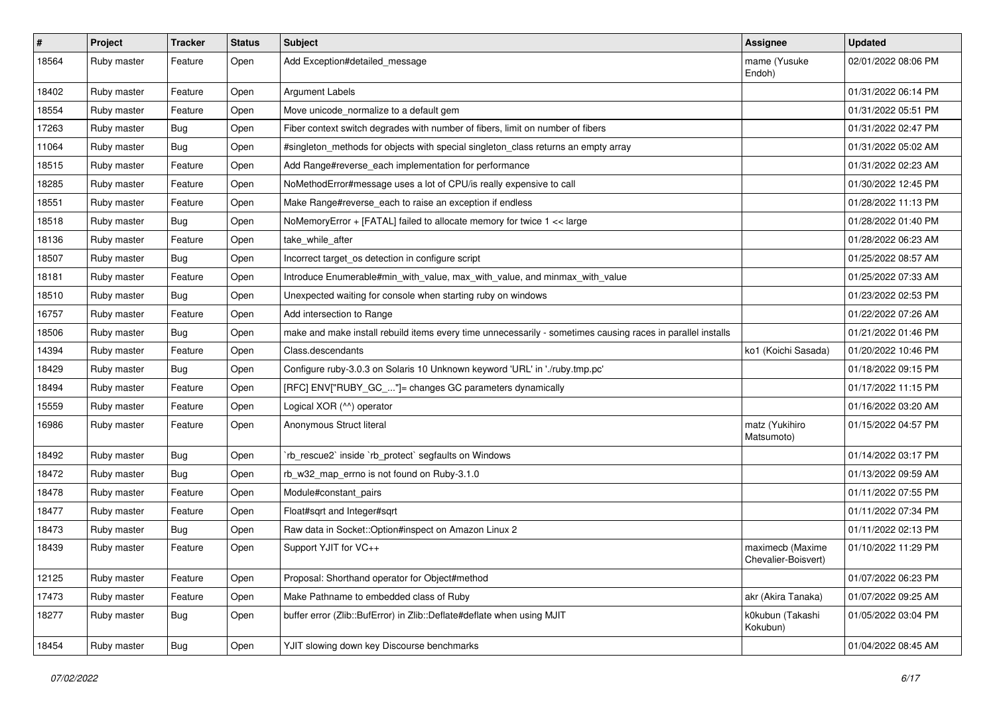| #     | Project     | <b>Tracker</b> | <b>Status</b> | Subject                                                                                                     | <b>Assignee</b>                         | <b>Updated</b>      |
|-------|-------------|----------------|---------------|-------------------------------------------------------------------------------------------------------------|-----------------------------------------|---------------------|
| 18564 | Ruby master | Feature        | Open          | Add Exception#detailed_message                                                                              | mame (Yusuke<br>Endoh)                  | 02/01/2022 08:06 PM |
| 18402 | Ruby master | Feature        | Open          | Argument Labels                                                                                             |                                         | 01/31/2022 06:14 PM |
| 18554 | Ruby master | Feature        | Open          | Move unicode_normalize to a default gem                                                                     |                                         | 01/31/2022 05:51 PM |
| 17263 | Ruby master | Bug            | Open          | Fiber context switch degrades with number of fibers, limit on number of fibers                              |                                         | 01/31/2022 02:47 PM |
| 11064 | Ruby master | Bug            | Open          | #singleton_methods for objects with special singleton_class returns an empty array                          |                                         | 01/31/2022 05:02 AM |
| 18515 | Ruby master | Feature        | Open          | Add Range#reverse_each implementation for performance                                                       |                                         | 01/31/2022 02:23 AM |
| 18285 | Ruby master | Feature        | Open          | NoMethodError#message uses a lot of CPU/is really expensive to call                                         |                                         | 01/30/2022 12:45 PM |
| 18551 | Ruby master | Feature        | Open          | Make Range#reverse_each to raise an exception if endless                                                    |                                         | 01/28/2022 11:13 PM |
| 18518 | Ruby master | Bug            | Open          | NoMemoryError + [FATAL] failed to allocate memory for twice 1 << large                                      |                                         | 01/28/2022 01:40 PM |
| 18136 | Ruby master | Feature        | Open          | take_while_after                                                                                            |                                         | 01/28/2022 06:23 AM |
| 18507 | Ruby master | Bug            | Open          | Incorrect target_os detection in configure script                                                           |                                         | 01/25/2022 08:57 AM |
| 18181 | Ruby master | Feature        | Open          | Introduce Enumerable#min_with_value, max_with_value, and minmax_with_value                                  |                                         | 01/25/2022 07:33 AM |
| 18510 | Ruby master | Bug            | Open          | Unexpected waiting for console when starting ruby on windows                                                |                                         | 01/23/2022 02:53 PM |
| 16757 | Ruby master | Feature        | Open          | Add intersection to Range                                                                                   |                                         | 01/22/2022 07:26 AM |
| 18506 | Ruby master | Bug            | Open          | make and make install rebuild items every time unnecessarily - sometimes causing races in parallel installs |                                         | 01/21/2022 01:46 PM |
| 14394 | Ruby master | Feature        | Open          | Class.descendants                                                                                           | ko1 (Koichi Sasada)                     | 01/20/2022 10:46 PM |
| 18429 | Ruby master | Bug            | Open          | Configure ruby-3.0.3 on Solaris 10 Unknown keyword 'URL' in './ruby.tmp.pc'                                 |                                         | 01/18/2022 09:15 PM |
| 18494 | Ruby master | Feature        | Open          | [RFC] ENV["RUBY_GC_"]= changes GC parameters dynamically                                                    |                                         | 01/17/2022 11:15 PM |
| 15559 | Ruby master | Feature        | Open          | Logical XOR (^^) operator                                                                                   |                                         | 01/16/2022 03:20 AM |
| 16986 | Ruby master | Feature        | Open          | Anonymous Struct literal                                                                                    | matz (Yukihiro<br>Matsumoto)            | 01/15/2022 04:57 PM |
| 18492 | Ruby master | Bug            | Open          | 'rb_rescue2' inside 'rb_protect' segfaults on Windows                                                       |                                         | 01/14/2022 03:17 PM |
| 18472 | Ruby master | Bug            | Open          | rb_w32_map_errno is not found on Ruby-3.1.0                                                                 |                                         | 01/13/2022 09:59 AM |
| 18478 | Ruby master | Feature        | Open          | Module#constant_pairs                                                                                       |                                         | 01/11/2022 07:55 PM |
| 18477 | Ruby master | Feature        | Open          | Float#sqrt and Integer#sqrt                                                                                 |                                         | 01/11/2022 07:34 PM |
| 18473 | Ruby master | Bug            | Open          | Raw data in Socket::Option#inspect on Amazon Linux 2                                                        |                                         | 01/11/2022 02:13 PM |
| 18439 | Ruby master | Feature        | Open          | Support YJIT for VC++                                                                                       | maximecb (Maxime<br>Chevalier-Boisvert) | 01/10/2022 11:29 PM |
| 12125 | Ruby master | Feature        | Open          | Proposal: Shorthand operator for Object#method                                                              |                                         | 01/07/2022 06:23 PM |
| 17473 | Ruby master | Feature        | Open          | Make Pathname to embedded class of Ruby                                                                     | akr (Akira Tanaka)                      | 01/07/2022 09:25 AM |
| 18277 | Ruby master | Bug            | Open          | buffer error (Zlib::BufError) in Zlib::Deflate#deflate when using MJIT                                      | k0kubun (Takashi<br>Kokubun)            | 01/05/2022 03:04 PM |
| 18454 | Ruby master | Bug            | Open          | YJIT slowing down key Discourse benchmarks                                                                  |                                         | 01/04/2022 08:45 AM |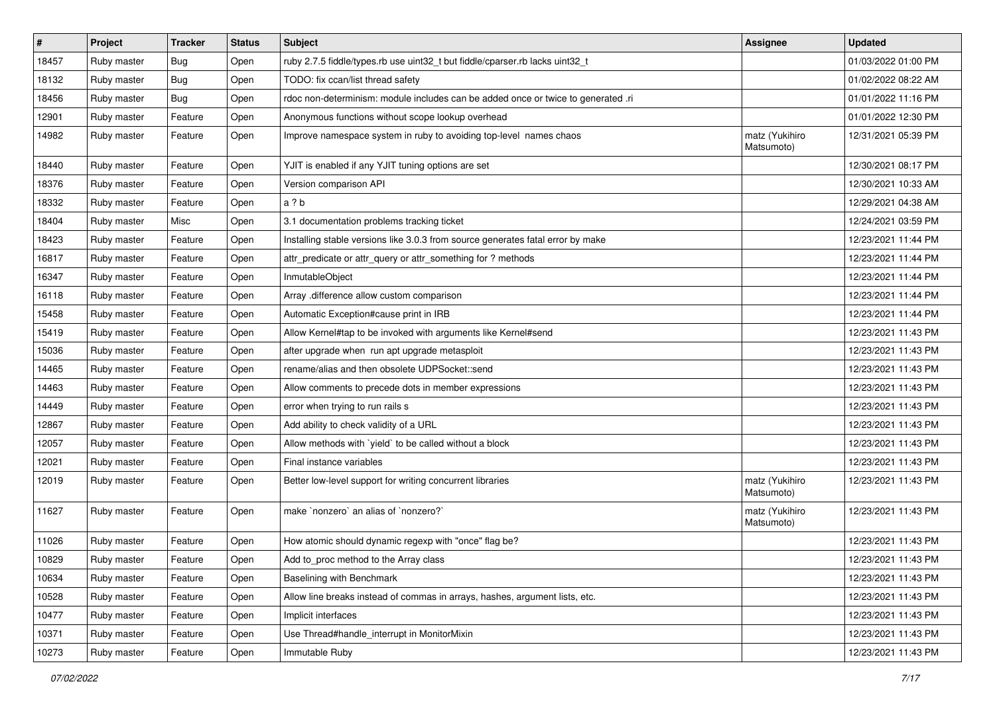| $\sharp$ | Project     | <b>Tracker</b> | <b>Status</b> | Subject                                                                           | <b>Assignee</b>              | <b>Updated</b>      |
|----------|-------------|----------------|---------------|-----------------------------------------------------------------------------------|------------------------------|---------------------|
| 18457    | Ruby master | Bug            | Open          | ruby 2.7.5 fiddle/types.rb use uint32_t but fiddle/cparser.rb lacks uint32_t      |                              | 01/03/2022 01:00 PM |
| 18132    | Ruby master | Bug            | Open          | TODO: fix ccan/list thread safety                                                 |                              | 01/02/2022 08:22 AM |
| 18456    | Ruby master | <b>Bug</b>     | Open          | rdoc non-determinism: module includes can be added once or twice to generated .ri |                              | 01/01/2022 11:16 PM |
| 12901    | Ruby master | Feature        | Open          | Anonymous functions without scope lookup overhead                                 |                              | 01/01/2022 12:30 PM |
| 14982    | Ruby master | Feature        | Open          | Improve namespace system in ruby to avoiding top-level names chaos                | matz (Yukihiro<br>Matsumoto) | 12/31/2021 05:39 PM |
| 18440    | Ruby master | Feature        | Open          | YJIT is enabled if any YJIT tuning options are set                                |                              | 12/30/2021 08:17 PM |
| 18376    | Ruby master | Feature        | Open          | Version comparison API                                                            |                              | 12/30/2021 10:33 AM |
| 18332    | Ruby master | Feature        | Open          | a ? b                                                                             |                              | 12/29/2021 04:38 AM |
| 18404    | Ruby master | Misc           | Open          | 3.1 documentation problems tracking ticket                                        |                              | 12/24/2021 03:59 PM |
| 18423    | Ruby master | Feature        | Open          | Installing stable versions like 3.0.3 from source generates fatal error by make   |                              | 12/23/2021 11:44 PM |
| 16817    | Ruby master | Feature        | Open          | attr_predicate or attr_query or attr_something for ? methods                      |                              | 12/23/2021 11:44 PM |
| 16347    | Ruby master | Feature        | Open          | InmutableObject                                                                   |                              | 12/23/2021 11:44 PM |
| 16118    | Ruby master | Feature        | Open          | Array .difference allow custom comparison                                         |                              | 12/23/2021 11:44 PM |
| 15458    | Ruby master | Feature        | Open          | Automatic Exception#cause print in IRB                                            |                              | 12/23/2021 11:44 PM |
| 15419    | Ruby master | Feature        | Open          | Allow Kernel#tap to be invoked with arguments like Kernel#send                    |                              | 12/23/2021 11:43 PM |
| 15036    | Ruby master | Feature        | Open          | after upgrade when run apt upgrade metasploit                                     |                              | 12/23/2021 11:43 PM |
| 14465    | Ruby master | Feature        | Open          | rename/alias and then obsolete UDPSocket::send                                    |                              | 12/23/2021 11:43 PM |
| 14463    | Ruby master | Feature        | Open          | Allow comments to precede dots in member expressions                              |                              | 12/23/2021 11:43 PM |
| 14449    | Ruby master | Feature        | Open          | error when trying to run rails s                                                  |                              | 12/23/2021 11:43 PM |
| 12867    | Ruby master | Feature        | Open          | Add ability to check validity of a URL                                            |                              | 12/23/2021 11:43 PM |
| 12057    | Ruby master | Feature        | Open          | Allow methods with 'yield' to be called without a block                           |                              | 12/23/2021 11:43 PM |
| 12021    | Ruby master | Feature        | Open          | Final instance variables                                                          |                              | 12/23/2021 11:43 PM |
| 12019    | Ruby master | Feature        | Open          | Better low-level support for writing concurrent libraries                         | matz (Yukihiro<br>Matsumoto) | 12/23/2021 11:43 PM |
| 11627    | Ruby master | Feature        | Open          | make `nonzero` an alias of `nonzero?`                                             | matz (Yukihiro<br>Matsumoto) | 12/23/2021 11:43 PM |
| 11026    | Ruby master | Feature        | Open          | How atomic should dynamic regexp with "once" flag be?                             |                              | 12/23/2021 11:43 PM |
| 10829    | Ruby master | Feature        | Open          | Add to_proc method to the Array class                                             |                              | 12/23/2021 11:43 PM |
| 10634    | Ruby master | Feature        | Open          | Baselining with Benchmark                                                         |                              | 12/23/2021 11:43 PM |
| 10528    | Ruby master | Feature        | Open          | Allow line breaks instead of commas in arrays, hashes, argument lists, etc.       |                              | 12/23/2021 11:43 PM |
| 10477    | Ruby master | Feature        | Open          | Implicit interfaces                                                               |                              | 12/23/2021 11:43 PM |
| 10371    | Ruby master | Feature        | Open          | Use Thread#handle_interrupt in MonitorMixin                                       |                              | 12/23/2021 11:43 PM |
| 10273    | Ruby master | Feature        | Open          | Immutable Ruby                                                                    |                              | 12/23/2021 11:43 PM |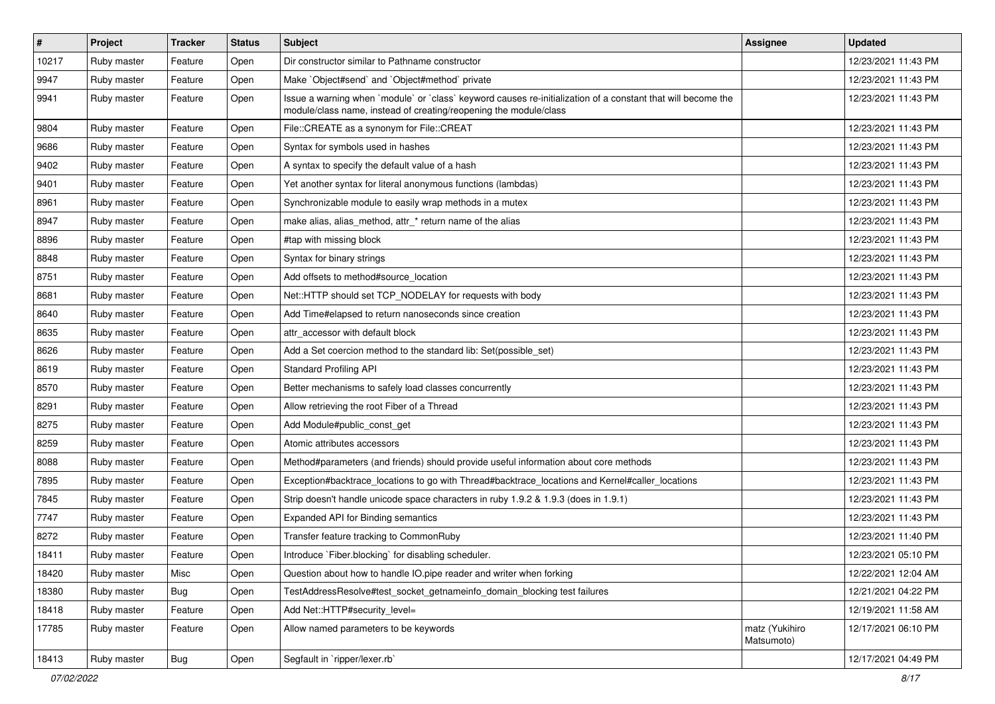| $\vert$ # | Project     | <b>Tracker</b> | <b>Status</b> | <b>Subject</b>                                                                                                                                                                    | Assignee                     | <b>Updated</b>      |
|-----------|-------------|----------------|---------------|-----------------------------------------------------------------------------------------------------------------------------------------------------------------------------------|------------------------------|---------------------|
| 10217     | Ruby master | Feature        | Open          | Dir constructor similar to Pathname constructor                                                                                                                                   |                              | 12/23/2021 11:43 PM |
| 9947      | Ruby master | Feature        | Open          | Make `Object#send` and `Object#method` private                                                                                                                                    |                              | 12/23/2021 11:43 PM |
| 9941      | Ruby master | Feature        | Open          | Issue a warning when `module` or `class` keyword causes re-initialization of a constant that will become the<br>module/class name, instead of creating/reopening the module/class |                              | 12/23/2021 11:43 PM |
| 9804      | Ruby master | Feature        | Open          | File::CREATE as a synonym for File::CREAT                                                                                                                                         |                              | 12/23/2021 11:43 PM |
| 9686      | Ruby master | Feature        | Open          | Syntax for symbols used in hashes                                                                                                                                                 |                              | 12/23/2021 11:43 PM |
| 9402      | Ruby master | Feature        | Open          | A syntax to specify the default value of a hash                                                                                                                                   |                              | 12/23/2021 11:43 PM |
| 9401      | Ruby master | Feature        | Open          | Yet another syntax for literal anonymous functions (lambdas)                                                                                                                      |                              | 12/23/2021 11:43 PM |
| 8961      | Ruby master | Feature        | Open          | Synchronizable module to easily wrap methods in a mutex                                                                                                                           |                              | 12/23/2021 11:43 PM |
| 8947      | Ruby master | Feature        | Open          | make alias, alias_method, attr_* return name of the alias                                                                                                                         |                              | 12/23/2021 11:43 PM |
| 8896      | Ruby master | Feature        | Open          | #tap with missing block                                                                                                                                                           |                              | 12/23/2021 11:43 PM |
| 8848      | Ruby master | Feature        | Open          | Syntax for binary strings                                                                                                                                                         |                              | 12/23/2021 11:43 PM |
| 8751      | Ruby master | Feature        | Open          | Add offsets to method#source_location                                                                                                                                             |                              | 12/23/2021 11:43 PM |
| 8681      | Ruby master | Feature        | Open          | Net::HTTP should set TCP_NODELAY for requests with body                                                                                                                           |                              | 12/23/2021 11:43 PM |
| 8640      | Ruby master | Feature        | Open          | Add Time#elapsed to return nanoseconds since creation                                                                                                                             |                              | 12/23/2021 11:43 PM |
| 8635      | Ruby master | Feature        | Open          | attr_accessor with default block                                                                                                                                                  |                              | 12/23/2021 11:43 PM |
| 8626      | Ruby master | Feature        | Open          | Add a Set coercion method to the standard lib: Set(possible_set)                                                                                                                  |                              | 12/23/2021 11:43 PM |
| 8619      | Ruby master | Feature        | Open          | <b>Standard Profiling API</b>                                                                                                                                                     |                              | 12/23/2021 11:43 PM |
| 8570      | Ruby master | Feature        | Open          | Better mechanisms to safely load classes concurrently                                                                                                                             |                              | 12/23/2021 11:43 PM |
| 8291      | Ruby master | Feature        | Open          | Allow retrieving the root Fiber of a Thread                                                                                                                                       |                              | 12/23/2021 11:43 PM |
| 8275      | Ruby master | Feature        | Open          | Add Module#public_const_get                                                                                                                                                       |                              | 12/23/2021 11:43 PM |
| 8259      | Ruby master | Feature        | Open          | Atomic attributes accessors                                                                                                                                                       |                              | 12/23/2021 11:43 PM |
| 8088      | Ruby master | Feature        | Open          | Method#parameters (and friends) should provide useful information about core methods                                                                                              |                              | 12/23/2021 11:43 PM |
| 7895      | Ruby master | Feature        | Open          | Exception#backtrace_locations to go with Thread#backtrace_locations and Kernel#caller_locations                                                                                   |                              | 12/23/2021 11:43 PM |
| 7845      | Ruby master | Feature        | Open          | Strip doesn't handle unicode space characters in ruby 1.9.2 & 1.9.3 (does in 1.9.1)                                                                                               |                              | 12/23/2021 11:43 PM |
| 7747      | Ruby master | Feature        | Open          | Expanded API for Binding semantics                                                                                                                                                |                              | 12/23/2021 11:43 PM |
| 8272      | Ruby master | Feature        | Open          | Transfer feature tracking to CommonRuby                                                                                                                                           |                              | 12/23/2021 11:40 PM |
| 18411     | Ruby master | Feature        | Open          | Introduce `Fiber.blocking` for disabling scheduler.                                                                                                                               |                              | 12/23/2021 05:10 PM |
| 18420     | Ruby master | Misc           | Open          | Question about how to handle IO.pipe reader and writer when forking                                                                                                               |                              | 12/22/2021 12:04 AM |
| 18380     | Ruby master | Bug            | Open          | TestAddressResolve#test socket getnameinfo domain blocking test failures                                                                                                          |                              | 12/21/2021 04:22 PM |
| 18418     | Ruby master | Feature        | Open          | Add Net::HTTP#security_level=                                                                                                                                                     |                              | 12/19/2021 11:58 AM |
| 17785     | Ruby master | Feature        | Open          | Allow named parameters to be keywords                                                                                                                                             | matz (Yukihiro<br>Matsumoto) | 12/17/2021 06:10 PM |
| 18413     | Ruby master | Bug            | Open          | Segfault in `ripper/lexer.rb`                                                                                                                                                     |                              | 12/17/2021 04:49 PM |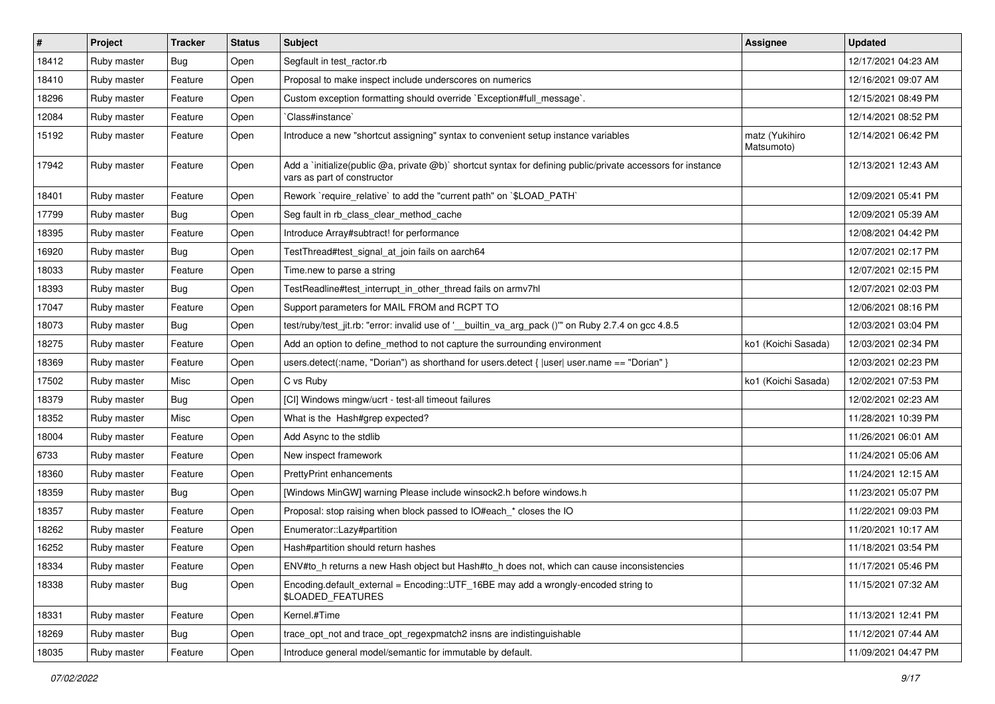| $\vert$ # | Project     | <b>Tracker</b> | <b>Status</b> | Subject                                                                                                                                     | Assignee                     | <b>Updated</b>      |
|-----------|-------------|----------------|---------------|---------------------------------------------------------------------------------------------------------------------------------------------|------------------------------|---------------------|
| 18412     | Ruby master | <b>Bug</b>     | Open          | Segfault in test_ractor.rb                                                                                                                  |                              | 12/17/2021 04:23 AM |
| 18410     | Ruby master | Feature        | Open          | Proposal to make inspect include underscores on numerics                                                                                    |                              | 12/16/2021 09:07 AM |
| 18296     | Ruby master | Feature        | Open          | Custom exception formatting should override `Exception#full_message`.                                                                       |                              | 12/15/2021 08:49 PM |
| 12084     | Ruby master | Feature        | Open          | Class#instance`                                                                                                                             |                              | 12/14/2021 08:52 PM |
| 15192     | Ruby master | Feature        | Open          | Introduce a new "shortcut assigning" syntax to convenient setup instance variables                                                          | matz (Yukihiro<br>Matsumoto) | 12/14/2021 06:42 PM |
| 17942     | Ruby master | Feature        | Open          | Add a `initialize(public @a, private @b)` shortcut syntax for defining public/private accessors for instance<br>vars as part of constructor |                              | 12/13/2021 12:43 AM |
| 18401     | Ruby master | Feature        | Open          | Rework `require_relative` to add the "current path" on `\$LOAD_PATH`                                                                        |                              | 12/09/2021 05:41 PM |
| 17799     | Ruby master | Bug            | Open          | Seg fault in rb_class_clear_method_cache                                                                                                    |                              | 12/09/2021 05:39 AM |
| 18395     | Ruby master | Feature        | Open          | Introduce Array#subtract! for performance                                                                                                   |                              | 12/08/2021 04:42 PM |
| 16920     | Ruby master | <b>Bug</b>     | Open          | TestThread#test_signal_at_join fails on aarch64                                                                                             |                              | 12/07/2021 02:17 PM |
| 18033     | Ruby master | Feature        | Open          | Time.new to parse a string                                                                                                                  |                              | 12/07/2021 02:15 PM |
| 18393     | Ruby master | <b>Bug</b>     | Open          | TestReadline#test_interrupt_in_other_thread fails on armv7hl                                                                                |                              | 12/07/2021 02:03 PM |
| 17047     | Ruby master | Feature        | Open          | Support parameters for MAIL FROM and RCPT TO                                                                                                |                              | 12/06/2021 08:16 PM |
| 18073     | Ruby master | <b>Bug</b>     | Open          | test/ruby/test_jit.rb: "error: invalid use of '__builtin_va_arg_pack ()" on Ruby 2.7.4 on gcc 4.8.5                                         |                              | 12/03/2021 03:04 PM |
| 18275     | Ruby master | Feature        | Open          | Add an option to define_method to not capture the surrounding environment                                                                   | ko1 (Koichi Sasada)          | 12/03/2021 02:34 PM |
| 18369     | Ruby master | Feature        | Open          | users.detect(:name, "Dorian") as shorthand for users.detect {  user  user.name == "Dorian" }                                                |                              | 12/03/2021 02:23 PM |
| 17502     | Ruby master | Misc           | Open          | C vs Ruby                                                                                                                                   | ko1 (Koichi Sasada)          | 12/02/2021 07:53 PM |
| 18379     | Ruby master | Bug            | Open          | [CI] Windows mingw/ucrt - test-all timeout failures                                                                                         |                              | 12/02/2021 02:23 AM |
| 18352     | Ruby master | Misc           | Open          | What is the Hash#grep expected?                                                                                                             |                              | 11/28/2021 10:39 PM |
| 18004     | Ruby master | Feature        | Open          | Add Async to the stdlib                                                                                                                     |                              | 11/26/2021 06:01 AM |
| 6733      | Ruby master | Feature        | Open          | New inspect framework                                                                                                                       |                              | 11/24/2021 05:06 AM |
| 18360     | Ruby master | Feature        | Open          | <b>PrettyPrint enhancements</b>                                                                                                             |                              | 11/24/2021 12:15 AM |
| 18359     | Ruby master | <b>Bug</b>     | Open          | [Windows MinGW] warning Please include winsock2.h before windows.h                                                                          |                              | 11/23/2021 05:07 PM |
| 18357     | Ruby master | Feature        | Open          | Proposal: stop raising when block passed to IO#each_* closes the IO                                                                         |                              | 11/22/2021 09:03 PM |
| 18262     | Ruby master | Feature        | Open          | Enumerator::Lazy#partition                                                                                                                  |                              | 11/20/2021 10:17 AM |
| 16252     | Ruby master | Feature        | Open          | Hash#partition should return hashes                                                                                                         |                              | 11/18/2021 03:54 PM |
| 18334     | Ruby master | Feature        | Open          | ENV#to_h returns a new Hash object but Hash#to_h does not, which can cause inconsistencies                                                  |                              | 11/17/2021 05:46 PM |
| 18338     | Ruby master | <b>Bug</b>     | Open          | Encoding.default_external = Encoding::UTF_16BE may add a wrongly-encoded string to<br>\$LOADED_FEATURES                                     |                              | 11/15/2021 07:32 AM |
| 18331     | Ruby master | Feature        | Open          | Kernel.#Time                                                                                                                                |                              | 11/13/2021 12:41 PM |
| 18269     | Ruby master | Bug            | Open          | trace_opt_not and trace_opt_regexpmatch2 insns are indistinguishable                                                                        |                              | 11/12/2021 07:44 AM |
| 18035     | Ruby master | Feature        | Open          | Introduce general model/semantic for immutable by default.                                                                                  |                              | 11/09/2021 04:47 PM |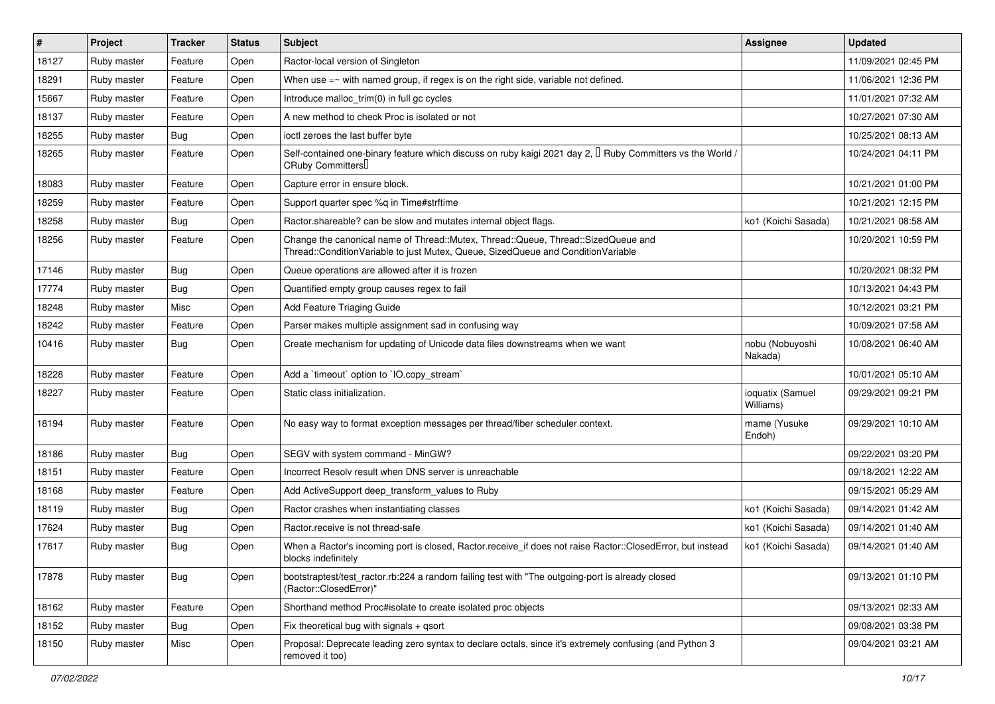| #     | Project     | <b>Tracker</b> | <b>Status</b> | Subject                                                                                                                                                               | <b>Assignee</b>               | <b>Updated</b>      |
|-------|-------------|----------------|---------------|-----------------------------------------------------------------------------------------------------------------------------------------------------------------------|-------------------------------|---------------------|
| 18127 | Ruby master | Feature        | Open          | Ractor-local version of Singleton                                                                                                                                     |                               | 11/09/2021 02:45 PM |
| 18291 | Ruby master | Feature        | Open          | When use $=\sim$ with named group, if regex is on the right side, variable not defined.                                                                               |                               | 11/06/2021 12:36 PM |
| 15667 | Ruby master | Feature        | Open          | Introduce malloc trim(0) in full gc cycles                                                                                                                            |                               | 11/01/2021 07:32 AM |
| 18137 | Ruby master | Feature        | Open          | A new method to check Proc is isolated or not                                                                                                                         |                               | 10/27/2021 07:30 AM |
| 18255 | Ruby master | Bug            | Open          | ioctl zeroes the last buffer byte                                                                                                                                     |                               | 10/25/2021 08:13 AM |
| 18265 | Ruby master | Feature        | Open          | Self-contained one-binary feature which discuss on ruby kaigi 2021 day 2, $\Box$ Ruby Committers vs the World /<br>CRuby Committers <sup>[]</sup>                     |                               | 10/24/2021 04:11 PM |
| 18083 | Ruby master | Feature        | Open          | Capture error in ensure block.                                                                                                                                        |                               | 10/21/2021 01:00 PM |
| 18259 | Ruby master | Feature        | Open          | Support quarter spec %q in Time#strftime                                                                                                                              |                               | 10/21/2021 12:15 PM |
| 18258 | Ruby master | Bug            | Open          | Ractor.shareable? can be slow and mutates internal object flags.                                                                                                      | ko1 (Koichi Sasada)           | 10/21/2021 08:58 AM |
| 18256 | Ruby master | Feature        | Open          | Change the canonical name of Thread::Mutex, Thread::Queue, Thread::SizedQueue and<br>Thread::ConditionVariable to just Mutex, Queue, SizedQueue and ConditionVariable |                               | 10/20/2021 10:59 PM |
| 17146 | Ruby master | Bug            | Open          | Queue operations are allowed after it is frozen                                                                                                                       |                               | 10/20/2021 08:32 PM |
| 17774 | Ruby master | Bug            | Open          | Quantified empty group causes regex to fail                                                                                                                           |                               | 10/13/2021 04:43 PM |
| 18248 | Ruby master | Misc           | Open          | Add Feature Triaging Guide                                                                                                                                            |                               | 10/12/2021 03:21 PM |
| 18242 | Ruby master | Feature        | Open          | Parser makes multiple assignment sad in confusing way                                                                                                                 |                               | 10/09/2021 07:58 AM |
| 10416 | Ruby master | Bug            | Open          | Create mechanism for updating of Unicode data files downstreams when we want                                                                                          | nobu (Nobuyoshi<br>Nakada)    | 10/08/2021 06:40 AM |
| 18228 | Ruby master | Feature        | Open          | Add a 'timeout' option to 'IO.copy stream'                                                                                                                            |                               | 10/01/2021 05:10 AM |
| 18227 | Ruby master | Feature        | Open          | Static class initialization.                                                                                                                                          | ioquatix (Samuel<br>Williams) | 09/29/2021 09:21 PM |
| 18194 | Ruby master | Feature        | Open          | No easy way to format exception messages per thread/fiber scheduler context.                                                                                          | mame (Yusuke<br>Endoh)        | 09/29/2021 10:10 AM |
| 18186 | Ruby master | Bug            | Open          | SEGV with system command - MinGW?                                                                                                                                     |                               | 09/22/2021 03:20 PM |
| 18151 | Ruby master | Feature        | Open          | Incorrect Resolv result when DNS server is unreachable                                                                                                                |                               | 09/18/2021 12:22 AM |
| 18168 | Ruby master | Feature        | Open          | Add ActiveSupport deep transform values to Ruby                                                                                                                       |                               | 09/15/2021 05:29 AM |
| 18119 | Ruby master | Bug            | Open          | Ractor crashes when instantiating classes                                                                                                                             | ko1 (Koichi Sasada)           | 09/14/2021 01:42 AM |
| 17624 | Ruby master | Bug            | Open          | Ractor.receive is not thread-safe                                                                                                                                     | ko1 (Koichi Sasada)           | 09/14/2021 01:40 AM |
| 17617 | Ruby master | Bug            | Open          | When a Ractor's incoming port is closed, Ractor.receive_if does not raise Ractor::ClosedError, but instead<br>blocks indefinitely                                     | ko1 (Koichi Sasada)           | 09/14/2021 01:40 AM |
| 17878 | Ruby master | Bug            | Open          | bootstraptest/test_ractor.rb:224 a random failing test with "The outgoing-port is already closed<br>(Ractor::ClosedError)"                                            |                               | 09/13/2021 01:10 PM |
| 18162 | Ruby master | Feature        | Open          | Shorthand method Proc#isolate to create isolated proc objects                                                                                                         |                               | 09/13/2021 02:33 AM |
| 18152 | Ruby master | <b>Bug</b>     | Open          | Fix theoretical bug with signals + qsort                                                                                                                              |                               | 09/08/2021 03:38 PM |
| 18150 | Ruby master | Misc           | Open          | Proposal: Deprecate leading zero syntax to declare octals, since it's extremely confusing (and Python 3<br>removed it too)                                            |                               | 09/04/2021 03:21 AM |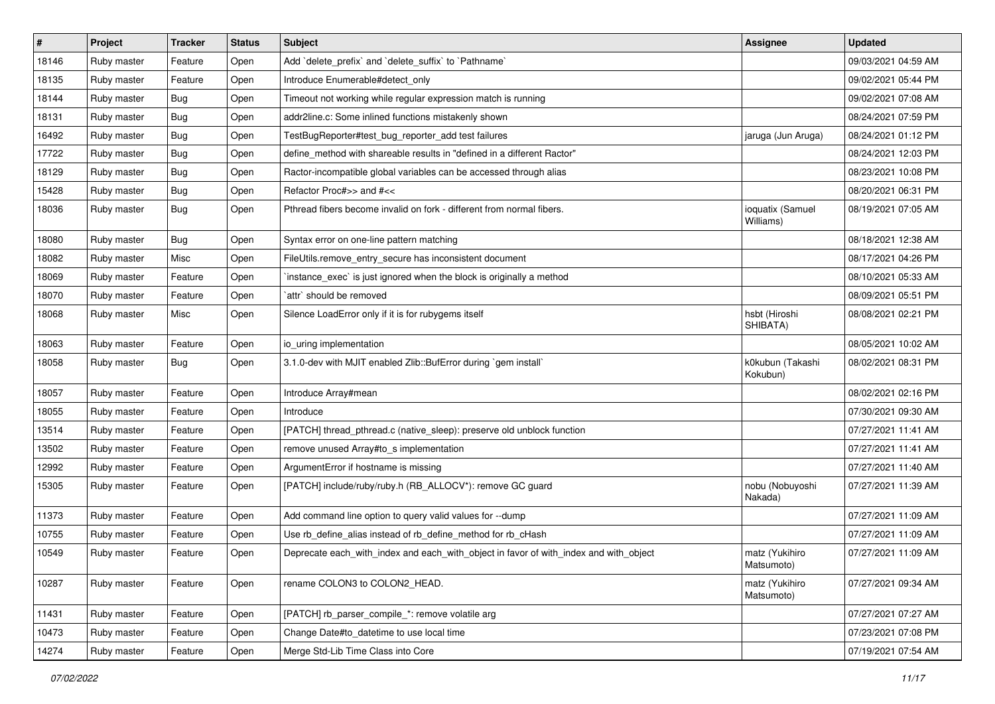| #     | Project     | <b>Tracker</b> | <b>Status</b> | Subject                                                                               | <b>Assignee</b>               | <b>Updated</b>      |
|-------|-------------|----------------|---------------|---------------------------------------------------------------------------------------|-------------------------------|---------------------|
| 18146 | Ruby master | Feature        | Open          | Add 'delete_prefix' and 'delete_suffix' to 'Pathname'                                 |                               | 09/03/2021 04:59 AM |
| 18135 | Ruby master | Feature        | Open          | Introduce Enumerable#detect_only                                                      |                               | 09/02/2021 05:44 PM |
| 18144 | Ruby master | <b>Bug</b>     | Open          | Timeout not working while regular expression match is running                         |                               | 09/02/2021 07:08 AM |
| 18131 | Ruby master | <b>Bug</b>     | Open          | addr2line.c: Some inlined functions mistakenly shown                                  |                               | 08/24/2021 07:59 PM |
| 16492 | Ruby master | <b>Bug</b>     | Open          | TestBugReporter#test_bug_reporter_add test failures                                   | jaruga (Jun Aruga)            | 08/24/2021 01:12 PM |
| 17722 | Ruby master | <b>Bug</b>     | Open          | define method with shareable results in "defined in a different Ractor"               |                               | 08/24/2021 12:03 PM |
| 18129 | Ruby master | <b>Bug</b>     | Open          | Ractor-incompatible global variables can be accessed through alias                    |                               | 08/23/2021 10:08 PM |
| 15428 | Ruby master | <b>Bug</b>     | Open          | Refactor Proc#>> and #<<                                                              |                               | 08/20/2021 06:31 PM |
| 18036 | Ruby master | Bug            | Open          | Pthread fibers become invalid on fork - different from normal fibers.                 | ioquatix (Samuel<br>Williams) | 08/19/2021 07:05 AM |
| 18080 | Ruby master | <b>Bug</b>     | Open          | Syntax error on one-line pattern matching                                             |                               | 08/18/2021 12:38 AM |
| 18082 | Ruby master | Misc           | Open          | FileUtils.remove_entry_secure has inconsistent document                               |                               | 08/17/2021 04:26 PM |
| 18069 | Ruby master | Feature        | Open          | instance exec is just ignored when the block is originally a method                   |                               | 08/10/2021 05:33 AM |
| 18070 | Ruby master | Feature        | Open          | `attr` should be removed                                                              |                               | 08/09/2021 05:51 PM |
| 18068 | Ruby master | Misc           | Open          | Silence LoadError only if it is for rubygems itself                                   | hsbt (Hiroshi<br>SHIBATA)     | 08/08/2021 02:21 PM |
| 18063 | Ruby master | Feature        | Open          | io_uring implementation                                                               |                               | 08/05/2021 10:02 AM |
| 18058 | Ruby master | Bug            | Open          | 3.1.0-dev with MJIT enabled Zlib::BufError during `gem install`                       | k0kubun (Takashi<br>Kokubun)  | 08/02/2021 08:31 PM |
| 18057 | Ruby master | Feature        | Open          | Introduce Array#mean                                                                  |                               | 08/02/2021 02:16 PM |
| 18055 | Ruby master | Feature        | Open          | Introduce                                                                             |                               | 07/30/2021 09:30 AM |
| 13514 | Ruby master | Feature        | Open          | [PATCH] thread_pthread.c (native_sleep): preserve old unblock function                |                               | 07/27/2021 11:41 AM |
| 13502 | Ruby master | Feature        | Open          | remove unused Array#to_s implementation                                               |                               | 07/27/2021 11:41 AM |
| 12992 | Ruby master | Feature        | Open          | ArgumentError if hostname is missing                                                  |                               | 07/27/2021 11:40 AM |
| 15305 | Ruby master | Feature        | Open          | [PATCH] include/ruby/ruby.h (RB_ALLOCV*): remove GC guard                             | nobu (Nobuyoshi<br>Nakada)    | 07/27/2021 11:39 AM |
| 11373 | Ruby master | Feature        | Open          | Add command line option to query valid values for --dump                              |                               | 07/27/2021 11:09 AM |
| 10755 | Ruby master | Feature        | Open          | Use rb_define_alias instead of rb_define_method for rb_cHash                          |                               | 07/27/2021 11:09 AM |
| 10549 | Ruby master | Feature        | Open          | Deprecate each_with_index and each_with_object in favor of with_index and with_object | matz (Yukihiro<br>Matsumoto)  | 07/27/2021 11:09 AM |
| 10287 | Ruby master | Feature        | Open          | rename COLON3 to COLON2_HEAD.                                                         | matz (Yukihiro<br>Matsumoto)  | 07/27/2021 09:34 AM |
| 11431 | Ruby master | Feature        | Open          | [PATCH] rb_parser_compile_*: remove volatile arg                                      |                               | 07/27/2021 07:27 AM |
| 10473 | Ruby master | Feature        | Open          | Change Date#to datetime to use local time                                             |                               | 07/23/2021 07:08 PM |
| 14274 | Ruby master | Feature        | Open          | Merge Std-Lib Time Class into Core                                                    |                               | 07/19/2021 07:54 AM |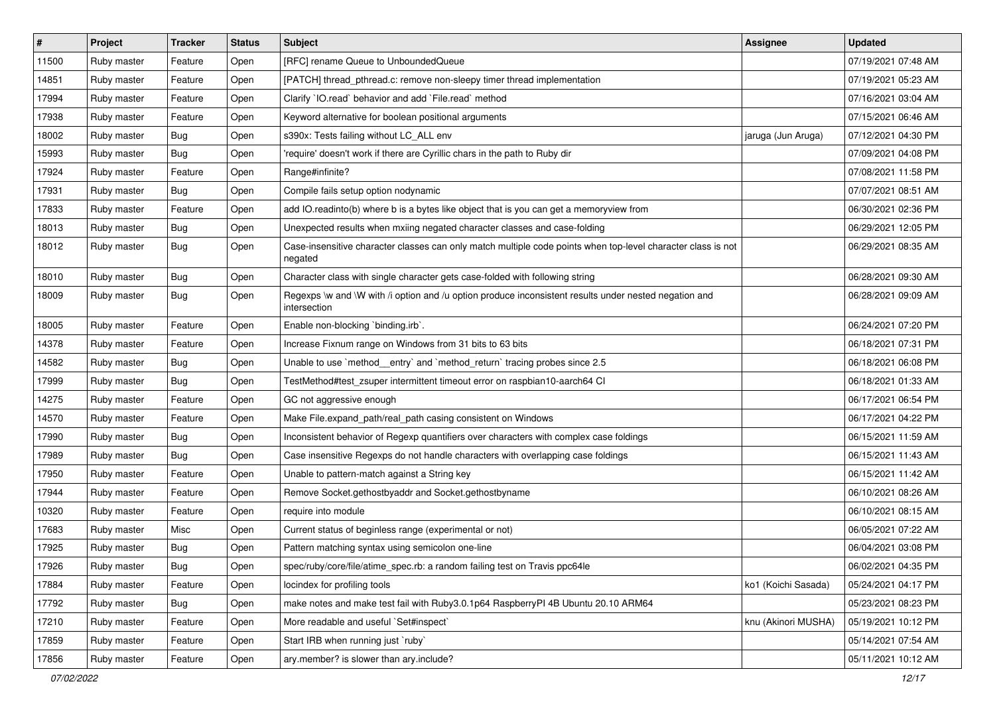| $\vert$ # | Project     | <b>Tracker</b> | <b>Status</b> | <b>Subject</b>                                                                                                          | <b>Assignee</b>     | <b>Updated</b>      |
|-----------|-------------|----------------|---------------|-------------------------------------------------------------------------------------------------------------------------|---------------------|---------------------|
| 11500     | Ruby master | Feature        | Open          | [RFC] rename Queue to UnboundedQueue                                                                                    |                     | 07/19/2021 07:48 AM |
| 14851     | Ruby master | Feature        | Open          | [PATCH] thread_pthread.c: remove non-sleepy timer thread implementation                                                 |                     | 07/19/2021 05:23 AM |
| 17994     | Ruby master | Feature        | Open          | Clarify 'IO.read' behavior and add 'File.read' method                                                                   |                     | 07/16/2021 03:04 AM |
| 17938     | Ruby master | Feature        | Open          | Keyword alternative for boolean positional arguments                                                                    |                     | 07/15/2021 06:46 AM |
| 18002     | Ruby master | <b>Bug</b>     | Open          | s390x: Tests failing without LC_ALL env                                                                                 | jaruga (Jun Aruga)  | 07/12/2021 04:30 PM |
| 15993     | Ruby master | <b>Bug</b>     | Open          | 'require' doesn't work if there are Cyrillic chars in the path to Ruby dir                                              |                     | 07/09/2021 04:08 PM |
| 17924     | Ruby master | Feature        | Open          | Range#infinite?                                                                                                         |                     | 07/08/2021 11:58 PM |
| 17931     | Ruby master | Bug            | Open          | Compile fails setup option nodynamic                                                                                    |                     | 07/07/2021 08:51 AM |
| 17833     | Ruby master | Feature        | Open          | add IO.readinto(b) where b is a bytes like object that is you can get a memoryview from                                 |                     | 06/30/2021 02:36 PM |
| 18013     | Ruby master | Bug            | Open          | Unexpected results when mxiing negated character classes and case-folding                                               |                     | 06/29/2021 12:05 PM |
| 18012     | Ruby master | Bug            | Open          | Case-insensitive character classes can only match multiple code points when top-level character class is not<br>negated |                     | 06/29/2021 08:35 AM |
| 18010     | Ruby master | Bug            | Open          | Character class with single character gets case-folded with following string                                            |                     | 06/28/2021 09:30 AM |
| 18009     | Ruby master | Bug            | Open          | Regexps \w and \W with /i option and /u option produce inconsistent results under nested negation and<br>intersection   |                     | 06/28/2021 09:09 AM |
| 18005     | Ruby master | Feature        | Open          | Enable non-blocking `binding.irb`.                                                                                      |                     | 06/24/2021 07:20 PM |
| 14378     | Ruby master | Feature        | Open          | Increase Fixnum range on Windows from 31 bits to 63 bits                                                                |                     | 06/18/2021 07:31 PM |
| 14582     | Ruby master | Bug            | Open          | Unable to use `method_entry` and `method_return` tracing probes since 2.5                                               |                     | 06/18/2021 06:08 PM |
| 17999     | Ruby master | <b>Bug</b>     | Open          | TestMethod#test_zsuper intermittent timeout error on raspbian10-aarch64 CI                                              |                     | 06/18/2021 01:33 AM |
| 14275     | Ruby master | Feature        | Open          | GC not aggressive enough                                                                                                |                     | 06/17/2021 06:54 PM |
| 14570     | Ruby master | Feature        | Open          | Make File.expand_path/real_path casing consistent on Windows                                                            |                     | 06/17/2021 04:22 PM |
| 17990     | Ruby master | Bug            | Open          | Inconsistent behavior of Regexp quantifiers over characters with complex case foldings                                  |                     | 06/15/2021 11:59 AM |
| 17989     | Ruby master | Bug            | Open          | Case insensitive Regexps do not handle characters with overlapping case foldings                                        |                     | 06/15/2021 11:43 AM |
| 17950     | Ruby master | Feature        | Open          | Unable to pattern-match against a String key                                                                            |                     | 06/15/2021 11:42 AM |
| 17944     | Ruby master | Feature        | Open          | Remove Socket.gethostbyaddr and Socket.gethostbyname                                                                    |                     | 06/10/2021 08:26 AM |
| 10320     | Ruby master | Feature        | Open          | require into module                                                                                                     |                     | 06/10/2021 08:15 AM |
| 17683     | Ruby master | Misc           | Open          | Current status of beginless range (experimental or not)                                                                 |                     | 06/05/2021 07:22 AM |
| 17925     | Ruby master | <b>Bug</b>     | Open          | Pattern matching syntax using semicolon one-line                                                                        |                     | 06/04/2021 03:08 PM |
| 17926     | Ruby master | <b>Bug</b>     | Open          | spec/ruby/core/file/atime_spec.rb: a random failing test on Travis ppc64le                                              |                     | 06/02/2021 04:35 PM |
| 17884     | Ruby master | Feature        | Open          | locindex for profiling tools                                                                                            | ko1 (Koichi Sasada) | 05/24/2021 04:17 PM |
| 17792     | Ruby master | Bug            | Open          | make notes and make test fail with Ruby3.0.1p64 RaspberryPI 4B Ubuntu 20.10 ARM64                                       |                     | 05/23/2021 08:23 PM |
| 17210     | Ruby master | Feature        | Open          | More readable and useful `Set#inspect`                                                                                  | knu (Akinori MUSHA) | 05/19/2021 10:12 PM |
| 17859     | Ruby master | Feature        | Open          | Start IRB when running just `ruby`                                                                                      |                     | 05/14/2021 07:54 AM |
| 17856     | Ruby master | Feature        | Open          | ary.member? is slower than ary.include?                                                                                 |                     | 05/11/2021 10:12 AM |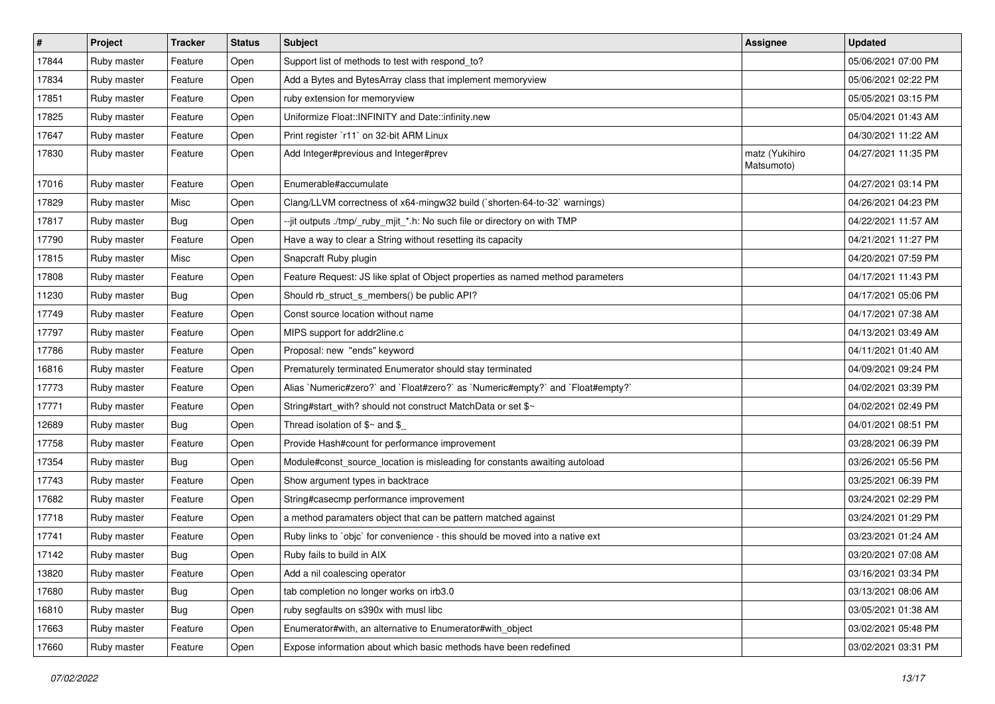| $\#$  | Project     | <b>Tracker</b> | <b>Status</b> | Subject                                                                        | <b>Assignee</b>              | <b>Updated</b>      |
|-------|-------------|----------------|---------------|--------------------------------------------------------------------------------|------------------------------|---------------------|
| 17844 | Ruby master | Feature        | Open          | Support list of methods to test with respond_to?                               |                              | 05/06/2021 07:00 PM |
| 17834 | Ruby master | Feature        | Open          | Add a Bytes and BytesArray class that implement memoryview                     |                              | 05/06/2021 02:22 PM |
| 17851 | Ruby master | Feature        | Open          | ruby extension for memoryview                                                  |                              | 05/05/2021 03:15 PM |
| 17825 | Ruby master | Feature        | Open          | Uniformize Float::INFINITY and Date::infinity.new                              |                              | 05/04/2021 01:43 AM |
| 17647 | Ruby master | Feature        | Open          | Print register `r11` on 32-bit ARM Linux                                       |                              | 04/30/2021 11:22 AM |
| 17830 | Ruby master | Feature        | Open          | Add Integer#previous and Integer#prev                                          | matz (Yukihiro<br>Matsumoto) | 04/27/2021 11:35 PM |
| 17016 | Ruby master | Feature        | Open          | Enumerable#accumulate                                                          |                              | 04/27/2021 03:14 PM |
| 17829 | Ruby master | Misc           | Open          | Clang/LLVM correctness of x64-mingw32 build (`shorten-64-to-32` warnings)      |                              | 04/26/2021 04:23 PM |
| 17817 | Ruby master | Bug            | Open          | --jit outputs ./tmp/_ruby_mjit_*.h: No such file or directory on with TMP      |                              | 04/22/2021 11:57 AM |
| 17790 | Ruby master | Feature        | Open          | Have a way to clear a String without resetting its capacity                    |                              | 04/21/2021 11:27 PM |
| 17815 | Ruby master | Misc           | Open          | Snapcraft Ruby plugin                                                          |                              | 04/20/2021 07:59 PM |
| 17808 | Ruby master | Feature        | Open          | Feature Request: JS like splat of Object properties as named method parameters |                              | 04/17/2021 11:43 PM |
| 11230 | Ruby master | Bug            | Open          | Should rb_struct_s_members() be public API?                                    |                              | 04/17/2021 05:06 PM |
| 17749 | Ruby master | Feature        | Open          | Const source location without name                                             |                              | 04/17/2021 07:38 AM |
| 17797 | Ruby master | Feature        | Open          | MIPS support for addr2line.c                                                   |                              | 04/13/2021 03:49 AM |
| 17786 | Ruby master | Feature        | Open          | Proposal: new "ends" keyword                                                   |                              | 04/11/2021 01:40 AM |
| 16816 | Ruby master | Feature        | Open          | Prematurely terminated Enumerator should stay terminated                       |                              | 04/09/2021 09:24 PM |
| 17773 | Ruby master | Feature        | Open          | Alias `Numeric#zero?` and `Float#zero?` as `Numeric#empty?` and `Float#empty?` |                              | 04/02/2021 03:39 PM |
| 17771 | Ruby master | Feature        | Open          | String#start_with? should not construct MatchData or set \$~                   |                              | 04/02/2021 02:49 PM |
| 12689 | Ruby master | Bug            | Open          | Thread isolation of \$~ and \$                                                 |                              | 04/01/2021 08:51 PM |
| 17758 | Ruby master | Feature        | Open          | Provide Hash#count for performance improvement                                 |                              | 03/28/2021 06:39 PM |
| 17354 | Ruby master | Bug            | Open          | Module#const_source_location is misleading for constants awaiting autoload     |                              | 03/26/2021 05:56 PM |
| 17743 | Ruby master | Feature        | Open          | Show argument types in backtrace                                               |                              | 03/25/2021 06:39 PM |
| 17682 | Ruby master | Feature        | Open          | String#casecmp performance improvement                                         |                              | 03/24/2021 02:29 PM |
| 17718 | Ruby master | Feature        | Open          | a method paramaters object that can be pattern matched against                 |                              | 03/24/2021 01:29 PM |
| 17741 | Ruby master | Feature        | Open          | Ruby links to `objc` for convenience - this should be moved into a native ext  |                              | 03/23/2021 01:24 AM |
| 17142 | Ruby master | Bug            | Open          | Ruby fails to build in AIX                                                     |                              | 03/20/2021 07:08 AM |
| 13820 | Ruby master | Feature        | Open          | Add a nil coalescing operator                                                  |                              | 03/16/2021 03:34 PM |
| 17680 | Ruby master | Bug            | Open          | tab completion no longer works on irb3.0                                       |                              | 03/13/2021 08:06 AM |
| 16810 | Ruby master | <b>Bug</b>     | Open          | ruby segfaults on s390x with musl libc                                         |                              | 03/05/2021 01:38 AM |
| 17663 | Ruby master | Feature        | Open          | Enumerator#with, an alternative to Enumerator#with_object                      |                              | 03/02/2021 05:48 PM |
| 17660 | Ruby master | Feature        | Open          | Expose information about which basic methods have been redefined               |                              | 03/02/2021 03:31 PM |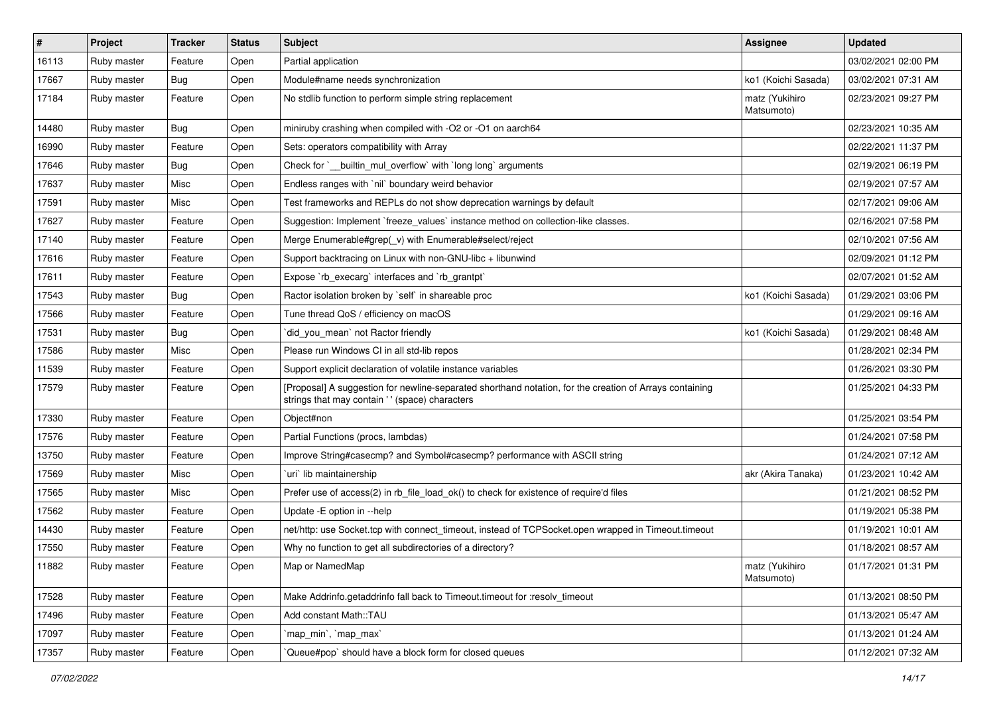| $\vert$ # | Project     | Tracker    | <b>Status</b> | <b>Subject</b>                                                                                                                                             | Assignee                     | <b>Updated</b>      |
|-----------|-------------|------------|---------------|------------------------------------------------------------------------------------------------------------------------------------------------------------|------------------------------|---------------------|
| 16113     | Ruby master | Feature    | Open          | Partial application                                                                                                                                        |                              | 03/02/2021 02:00 PM |
| 17667     | Ruby master | <b>Bug</b> | Open          | Module#name needs synchronization                                                                                                                          | ko1 (Koichi Sasada)          | 03/02/2021 07:31 AM |
| 17184     | Ruby master | Feature    | Open          | No stdlib function to perform simple string replacement                                                                                                    | matz (Yukihiro<br>Matsumoto) | 02/23/2021 09:27 PM |
| 14480     | Ruby master | Bug        | Open          | miniruby crashing when compiled with -O2 or -O1 on aarch64                                                                                                 |                              | 02/23/2021 10:35 AM |
| 16990     | Ruby master | Feature    | Open          | Sets: operators compatibility with Array                                                                                                                   |                              | 02/22/2021 11:37 PM |
| 17646     | Ruby master | <b>Bug</b> | Open          | Check for `__builtin_mul_overflow` with `long long` arguments                                                                                              |                              | 02/19/2021 06:19 PM |
| 17637     | Ruby master | Misc       | Open          | Endless ranges with `nil` boundary weird behavior                                                                                                          |                              | 02/19/2021 07:57 AM |
| 17591     | Ruby master | Misc       | Open          | Test frameworks and REPLs do not show deprecation warnings by default                                                                                      |                              | 02/17/2021 09:06 AM |
| 17627     | Ruby master | Feature    | Open          | Suggestion: Implement `freeze_values` instance method on collection-like classes.                                                                          |                              | 02/16/2021 07:58 PM |
| 17140     | Ruby master | Feature    | Open          | Merge Enumerable#grep(_v) with Enumerable#select/reject                                                                                                    |                              | 02/10/2021 07:56 AM |
| 17616     | Ruby master | Feature    | Open          | Support backtracing on Linux with non-GNU-libc + libunwind                                                                                                 |                              | 02/09/2021 01:12 PM |
| 17611     | Ruby master | Feature    | Open          | Expose `rb_execarg` interfaces and `rb_grantpt`                                                                                                            |                              | 02/07/2021 01:52 AM |
| 17543     | Ruby master | Bug        | Open          | Ractor isolation broken by `self` in shareable proc                                                                                                        | ko1 (Koichi Sasada)          | 01/29/2021 03:06 PM |
| 17566     | Ruby master | Feature    | Open          | Tune thread QoS / efficiency on macOS                                                                                                                      |                              | 01/29/2021 09:16 AM |
| 17531     | Ruby master | <b>Bug</b> | Open          | did you mean' not Ractor friendly                                                                                                                          | ko1 (Koichi Sasada)          | 01/29/2021 08:48 AM |
| 17586     | Ruby master | Misc       | Open          | Please run Windows CI in all std-lib repos                                                                                                                 |                              | 01/28/2021 02:34 PM |
| 11539     | Ruby master | Feature    | Open          | Support explicit declaration of volatile instance variables                                                                                                |                              | 01/26/2021 03:30 PM |
| 17579     | Ruby master | Feature    | Open          | [Proposal] A suggestion for newline-separated shorthand notation, for the creation of Arrays containing<br>strings that may contain ' ' (space) characters |                              | 01/25/2021 04:33 PM |
| 17330     | Ruby master | Feature    | Open          | Object#non                                                                                                                                                 |                              | 01/25/2021 03:54 PM |
| 17576     | Ruby master | Feature    | Open          | Partial Functions (procs, lambdas)                                                                                                                         |                              | 01/24/2021 07:58 PM |
| 13750     | Ruby master | Feature    | Open          | Improve String#casecmp? and Symbol#casecmp? performance with ASCII string                                                                                  |                              | 01/24/2021 07:12 AM |
| 17569     | Ruby master | Misc       | Open          | uri' lib maintainership                                                                                                                                    | akr (Akira Tanaka)           | 01/23/2021 10:42 AM |
| 17565     | Ruby master | Misc       | Open          | Prefer use of access(2) in rb_file_load_ok() to check for existence of require'd files                                                                     |                              | 01/21/2021 08:52 PM |
| 17562     | Ruby master | Feature    | Open          | Update -E option in --help                                                                                                                                 |                              | 01/19/2021 05:38 PM |
| 14430     | Ruby master | Feature    | Open          | net/http: use Socket.tcp with connect_timeout, instead of TCPSocket.open wrapped in Timeout.timeout                                                        |                              | 01/19/2021 10:01 AM |
| 17550     | Ruby master | Feature    | Open          | Why no function to get all subdirectories of a directory?                                                                                                  |                              | 01/18/2021 08:57 AM |
| 11882     | Ruby master | Feature    | Open          | Map or NamedMap                                                                                                                                            | matz (Yukihiro<br>Matsumoto) | 01/17/2021 01:31 PM |
| 17528     | Ruby master | Feature    | Open          | Make Addrinfo.getaddrinfo fall back to Timeout.timeout for :resolv_timeout                                                                                 |                              | 01/13/2021 08:50 PM |
| 17496     | Ruby master | Feature    | Open          | Add constant Math::TAU                                                                                                                                     |                              | 01/13/2021 05:47 AM |
| 17097     | Ruby master | Feature    | Open          | `map_min`, `map_max`                                                                                                                                       |                              | 01/13/2021 01:24 AM |
| 17357     | Ruby master | Feature    | Open          | Queue#pop` should have a block form for closed queues                                                                                                      |                              | 01/12/2021 07:32 AM |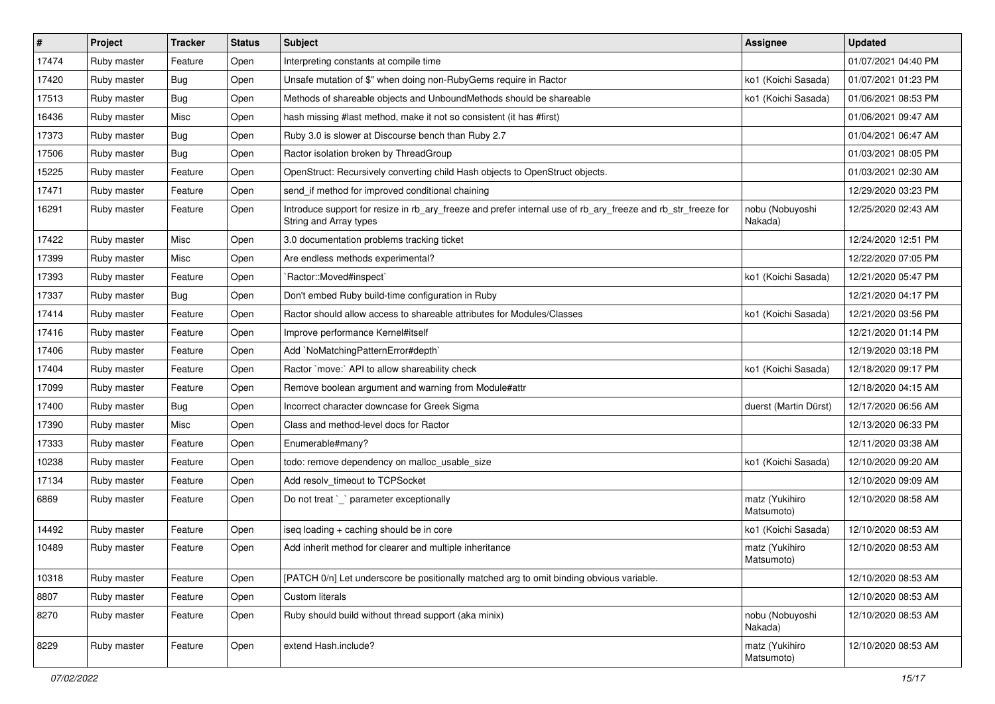| $\pmb{\sharp}$ | Project     | <b>Tracker</b> | <b>Status</b> | Subject                                                                                                                                | <b>Assignee</b>              | <b>Updated</b>      |
|----------------|-------------|----------------|---------------|----------------------------------------------------------------------------------------------------------------------------------------|------------------------------|---------------------|
| 17474          | Ruby master | Feature        | Open          | Interpreting constants at compile time                                                                                                 |                              | 01/07/2021 04:40 PM |
| 17420          | Ruby master | Bug            | Open          | Unsafe mutation of \$" when doing non-RubyGems require in Ractor                                                                       | ko1 (Koichi Sasada)          | 01/07/2021 01:23 PM |
| 17513          | Ruby master | Bug            | Open          | Methods of shareable objects and UnboundMethods should be shareable                                                                    | ko1 (Koichi Sasada)          | 01/06/2021 08:53 PM |
| 16436          | Ruby master | Misc           | Open          | hash missing #last method, make it not so consistent (it has #first)                                                                   |                              | 01/06/2021 09:47 AM |
| 17373          | Ruby master | Bug            | Open          | Ruby 3.0 is slower at Discourse bench than Ruby 2.7                                                                                    |                              | 01/04/2021 06:47 AM |
| 17506          | Ruby master | Bug            | Open          | Ractor isolation broken by ThreadGroup                                                                                                 |                              | 01/03/2021 08:05 PM |
| 15225          | Ruby master | Feature        | Open          | OpenStruct: Recursively converting child Hash objects to OpenStruct objects.                                                           |                              | 01/03/2021 02:30 AM |
| 17471          | Ruby master | Feature        | Open          | send_if method for improved conditional chaining                                                                                       |                              | 12/29/2020 03:23 PM |
| 16291          | Ruby master | Feature        | Open          | Introduce support for resize in rb_ary_freeze and prefer internal use of rb_ary_freeze and rb_str_freeze for<br>String and Array types | nobu (Nobuyoshi<br>Nakada)   | 12/25/2020 02:43 AM |
| 17422          | Ruby master | Misc           | Open          | 3.0 documentation problems tracking ticket                                                                                             |                              | 12/24/2020 12:51 PM |
| 17399          | Ruby master | Misc           | Open          | Are endless methods experimental?                                                                                                      |                              | 12/22/2020 07:05 PM |
| 17393          | Ruby master | Feature        | Open          | 'Ractor::Moved#inspect'                                                                                                                | ko1 (Koichi Sasada)          | 12/21/2020 05:47 PM |
| 17337          | Ruby master | Bug            | Open          | Don't embed Ruby build-time configuration in Ruby                                                                                      |                              | 12/21/2020 04:17 PM |
| 17414          | Ruby master | Feature        | Open          | Ractor should allow access to shareable attributes for Modules/Classes                                                                 | ko1 (Koichi Sasada)          | 12/21/2020 03:56 PM |
| 17416          | Ruby master | Feature        | Open          | Improve performance Kernel#itself                                                                                                      |                              | 12/21/2020 01:14 PM |
| 17406          | Ruby master | Feature        | Open          | Add `NoMatchingPatternError#depth`                                                                                                     |                              | 12/19/2020 03:18 PM |
| 17404          | Ruby master | Feature        | Open          | Ractor `move:` API to allow shareability check                                                                                         | ko1 (Koichi Sasada)          | 12/18/2020 09:17 PM |
| 17099          | Ruby master | Feature        | Open          | Remove boolean argument and warning from Module#attr                                                                                   |                              | 12/18/2020 04:15 AM |
| 17400          | Ruby master | Bug            | Open          | Incorrect character downcase for Greek Sigma                                                                                           | duerst (Martin Dürst)        | 12/17/2020 06:56 AM |
| 17390          | Ruby master | Misc           | Open          | Class and method-level docs for Ractor                                                                                                 |                              | 12/13/2020 06:33 PM |
| 17333          | Ruby master | Feature        | Open          | Enumerable#many?                                                                                                                       |                              | 12/11/2020 03:38 AM |
| 10238          | Ruby master | Feature        | Open          | todo: remove dependency on malloc_usable_size                                                                                          | ko1 (Koichi Sasada)          | 12/10/2020 09:20 AM |
| 17134          | Ruby master | Feature        | Open          | Add resolv_timeout to TCPSocket                                                                                                        |                              | 12/10/2020 09:09 AM |
| 6869           | Ruby master | Feature        | Open          | Do not treat `_` parameter exceptionally                                                                                               | matz (Yukihiro<br>Matsumoto) | 12/10/2020 08:58 AM |
| 14492          | Ruby master | Feature        | Open          | iseq loading + caching should be in core                                                                                               | ko1 (Koichi Sasada)          | 12/10/2020 08:53 AM |
| 10489          | Ruby master | Feature        | Open          | Add inherit method for clearer and multiple inheritance                                                                                | matz (Yukihiro<br>Matsumoto) | 12/10/2020 08:53 AM |
| 10318          | Ruby master | Feature        | Open          | [PATCH 0/n] Let underscore be positionally matched arg to omit binding obvious variable.                                               |                              | 12/10/2020 08:53 AM |
| 8807           | Ruby master | Feature        | Open          | Custom literals                                                                                                                        |                              | 12/10/2020 08:53 AM |
| 8270           | Ruby master | Feature        | Open          | Ruby should build without thread support (aka minix)                                                                                   | nobu (Nobuyoshi<br>Nakada)   | 12/10/2020 08:53 AM |
| 8229           | Ruby master | Feature        | Open          | extend Hash.include?                                                                                                                   | matz (Yukihiro<br>Matsumoto) | 12/10/2020 08:53 AM |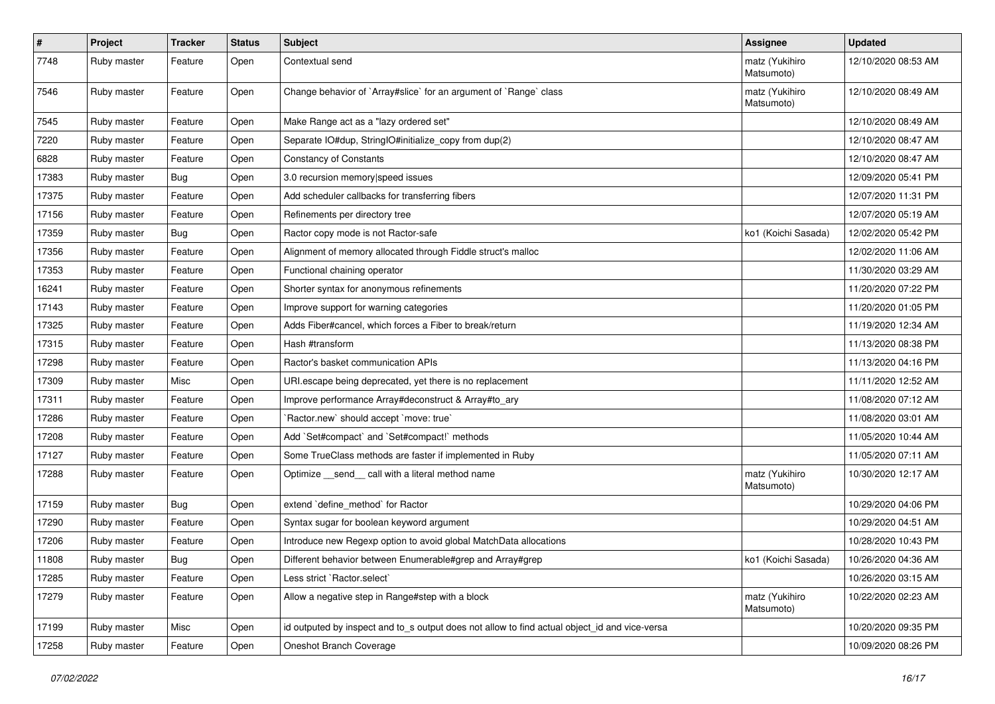| $\sharp$ | Project     | <b>Tracker</b> | <b>Status</b> | <b>Subject</b>                                                                                | Assignee                     | <b>Updated</b>      |
|----------|-------------|----------------|---------------|-----------------------------------------------------------------------------------------------|------------------------------|---------------------|
| 7748     | Ruby master | Feature        | Open          | Contextual send                                                                               | matz (Yukihiro<br>Matsumoto) | 12/10/2020 08:53 AM |
| 7546     | Ruby master | Feature        | Open          | Change behavior of `Array#slice` for an argument of `Range` class                             | matz (Yukihiro<br>Matsumoto) | 12/10/2020 08:49 AM |
| 7545     | Ruby master | Feature        | Open          | Make Range act as a "lazy ordered set"                                                        |                              | 12/10/2020 08:49 AM |
| 7220     | Ruby master | Feature        | Open          | Separate IO#dup, StringIO#initialize_copy from dup(2)                                         |                              | 12/10/2020 08:47 AM |
| 6828     | Ruby master | Feature        | Open          | <b>Constancy of Constants</b>                                                                 |                              | 12/10/2020 08:47 AM |
| 17383    | Ruby master | Bug            | Open          | 3.0 recursion memory speed issues                                                             |                              | 12/09/2020 05:41 PM |
| 17375    | Ruby master | Feature        | Open          | Add scheduler callbacks for transferring fibers                                               |                              | 12/07/2020 11:31 PM |
| 17156    | Ruby master | Feature        | Open          | Refinements per directory tree                                                                |                              | 12/07/2020 05:19 AM |
| 17359    | Ruby master | Bug            | Open          | Ractor copy mode is not Ractor-safe                                                           | ko1 (Koichi Sasada)          | 12/02/2020 05:42 PM |
| 17356    | Ruby master | Feature        | Open          | Alignment of memory allocated through Fiddle struct's malloc                                  |                              | 12/02/2020 11:06 AM |
| 17353    | Ruby master | Feature        | Open          | Functional chaining operator                                                                  |                              | 11/30/2020 03:29 AM |
| 16241    | Ruby master | Feature        | Open          | Shorter syntax for anonymous refinements                                                      |                              | 11/20/2020 07:22 PM |
| 17143    | Ruby master | Feature        | Open          | Improve support for warning categories                                                        |                              | 11/20/2020 01:05 PM |
| 17325    | Ruby master | Feature        | Open          | Adds Fiber#cancel, which forces a Fiber to break/return                                       |                              | 11/19/2020 12:34 AM |
| 17315    | Ruby master | Feature        | Open          | Hash #transform                                                                               |                              | 11/13/2020 08:38 PM |
| 17298    | Ruby master | Feature        | Open          | Ractor's basket communication APIs                                                            |                              | 11/13/2020 04:16 PM |
| 17309    | Ruby master | Misc           | Open          | URI escape being deprecated, yet there is no replacement                                      |                              | 11/11/2020 12:52 AM |
| 17311    | Ruby master | Feature        | Open          | Improve performance Array#deconstruct & Array#to_ary                                          |                              | 11/08/2020 07:12 AM |
| 17286    | Ruby master | Feature        | Open          | Ractor.new' should accept 'move: true'                                                        |                              | 11/08/2020 03:01 AM |
| 17208    | Ruby master | Feature        | Open          | Add `Set#compact` and `Set#compact!` methods                                                  |                              | 11/05/2020 10:44 AM |
| 17127    | Ruby master | Feature        | Open          | Some TrueClass methods are faster if implemented in Ruby                                      |                              | 11/05/2020 07:11 AM |
| 17288    | Ruby master | Feature        | Open          | Optimize _send_ call with a literal method name                                               | matz (Yukihiro<br>Matsumoto) | 10/30/2020 12:17 AM |
| 17159    | Ruby master | Bug            | Open          | extend 'define_method' for Ractor                                                             |                              | 10/29/2020 04:06 PM |
| 17290    | Ruby master | Feature        | Open          | Syntax sugar for boolean keyword argument                                                     |                              | 10/29/2020 04:51 AM |
| 17206    | Ruby master | Feature        | Open          | Introduce new Regexp option to avoid global MatchData allocations                             |                              | 10/28/2020 10:43 PM |
| 11808    | Ruby master | Bug            | Open          | Different behavior between Enumerable#grep and Array#grep                                     | ko1 (Koichi Sasada)          | 10/26/2020 04:36 AM |
| 17285    | Ruby master | Feature        | Open          | Less strict `Ractor.select`                                                                   |                              | 10/26/2020 03:15 AM |
| 17279    | Ruby master | Feature        | Open          | Allow a negative step in Range#step with a block                                              | matz (Yukihiro<br>Matsumoto) | 10/22/2020 02:23 AM |
| 17199    | Ruby master | Misc           | Open          | id outputed by inspect and to_s output does not allow to find actual object_id and vice-versa |                              | 10/20/2020 09:35 PM |
| 17258    | Ruby master | Feature        | Open          | Oneshot Branch Coverage                                                                       |                              | 10/09/2020 08:26 PM |